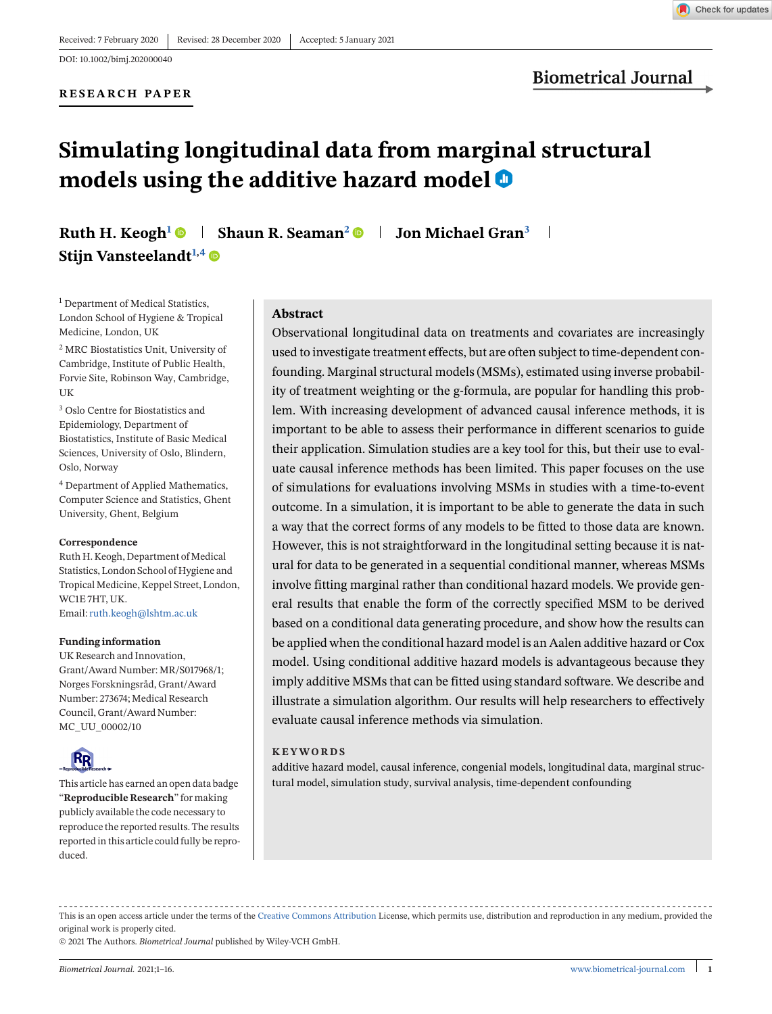**RESEARCH PAPER**



**Biometrical Journal** 

# **Simulating longitudinal data from marginal structural models using the additive hazard model**

**Ruth H. Keogh<sup>1</sup> • Shaun R. Seaman<sup>2</sup> • Jon Michael Gran<sup>3</sup> Stijn Vansteelandt1,4**

<sup>1</sup> Department of Medical Statistics, London School of Hygiene & Tropical Medicine, London, UK

<sup>2</sup> MRC Biostatistics Unit, University of Cambridge, Institute of Public Health, Forvie Site, Robinson Way, Cambridge, UK

<sup>3</sup> Oslo Centre for Biostatistics and Epidemiology, Department of Biostatistics, Institute of Basic Medical Sciences, University of Oslo, Blindern, Oslo, Norway

<sup>4</sup> Department of Applied Mathematics, Computer Science and Statistics, Ghent University, Ghent, Belgium

#### **Correspondence**

Ruth H. Keogh, Department of Medical Statistics, London School of Hygiene and Tropical Medicine, Keppel Street, London, WC1E 7HT, UK. Email:[ruth.keogh@lshtm.ac.uk](mailto:ruth.keogh@lshtm.ac.uk)

#### **Funding information**

UK Research and Innovation, Grant/Award Number: MR/S017968/1; Norges Forskningsråd, Grant/Award Number: 273674; Medical Research Council, Grant/Award Number: MC\_UU\_00002/10



This article has earned an open data badge "**Reproducible Research**" for making publicly available the code necessary to reproduce the reported results. The results reported in this article could fully be reproduced.

## **Abstract**

Observational longitudinal data on treatments and covariates are increasingly used to investigate treatment effects, but are often subject to time-dependent confounding. Marginal structural models (MSMs), estimated using inverse probability of treatment weighting or the g-formula, are popular for handling this problem. With increasing development of advanced causal inference methods, it is important to be able to assess their performance in different scenarios to guide their application. Simulation studies are a key tool for this, but their use to evaluate causal inference methods has been limited. This paper focuses on the use of simulations for evaluations involving MSMs in studies with a time-to-event outcome. In a simulation, it is important to be able to generate the data in such a way that the correct forms of any models to be fitted to those data are known. However, this is not straightforward in the longitudinal setting because it is natural for data to be generated in a sequential conditional manner, whereas MSMs involve fitting marginal rather than conditional hazard models. We provide general results that enable the form of the correctly specified MSM to be derived based on a conditional data generating procedure, and show how the results can be applied when the conditional hazard model is an Aalen additive hazard or Cox model. Using conditional additive hazard models is advantageous because they imply additive MSMs that can be fitted using standard software. We describe and illustrate a simulation algorithm. Our results will help researchers to effectively evaluate causal inference methods via simulation.

#### **KEYWORDS**

additive hazard model, causal inference, congenial models, longitudinal data, marginal structural model, simulation study, survival analysis, time-dependent confounding

This is an open access article under the terms of the [Creative Commons Attribution](http://creativecommons.org/licenses/by/4.0/) License, which permits use, distribution and reproduction in any medium, provided the original work is properly cited.

© 2021 The Authors. *Biometrical Journal* published by Wiley-VCH GmbH.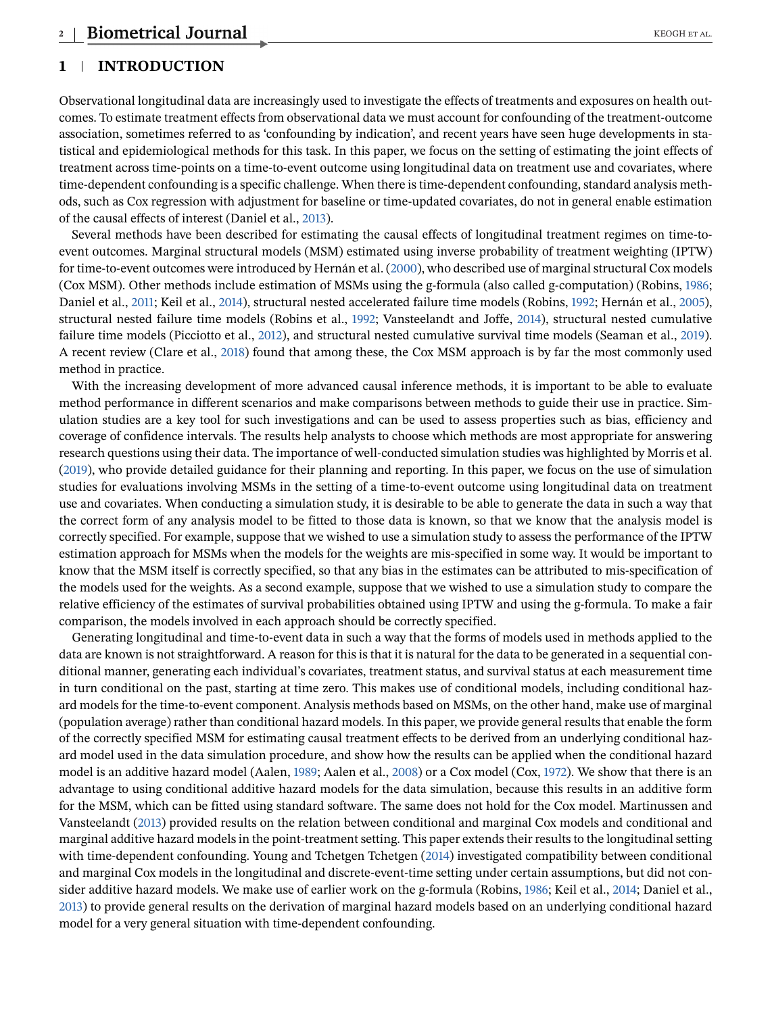## <span id="page-1-0"></span>**1 INTRODUCTION**

Observational longitudinal data are increasingly used to investigate the effects of treatments and exposures on health outcomes. To estimate treatment effects from observational data we must account for confounding of the treatment-outcome association, sometimes referred to as 'confounding by indication', and recent years have seen huge developments in statistical and epidemiological methods for this task. In this paper, we focus on the setting of estimating the joint effects of treatment across time-points on a time-to-event outcome using longitudinal data on treatment use and covariates, where time-dependent confounding is a specific challenge. When there is time-dependent confounding, standard analysis methods, such as Cox regression with adjustment for baseline or time-updated covariates, do not in general enable estimation of the causal effects of interest (Daniel et al., [2013\)](#page-14-0).

Several methods have been described for estimating the causal effects of longitudinal treatment regimes on time-toevent outcomes. Marginal structural models (MSM) estimated using inverse probability of treatment weighting (IPTW) for time-to-event outcomes were introduced by Hernán et al. [\(2000\)](#page-15-0), who described use of marginal structural Cox models (Cox MSM). Other methods include estimation of MSMs using the g-formula (also called g-computation) (Robins, [1986;](#page-15-0) Daniel et al., [2011;](#page-14-0) Keil et al., [2014\)](#page-15-0), structural nested accelerated failure time models (Robins, [1992;](#page-15-0) Hernán et al., [2005\)](#page-15-0), structural nested failure time models (Robins et al., [1992;](#page-15-0) Vansteelandt and Joffe, [2014\)](#page-15-0), structural nested cumulative failure time models (Picciotto et al., [2012\)](#page-15-0), and structural nested cumulative survival time models (Seaman et al., [2019\)](#page-15-0). A recent review (Clare et al., [2018\)](#page-14-0) found that among these, the Cox MSM approach is by far the most commonly used method in practice.

With the increasing development of more advanced causal inference methods, it is important to be able to evaluate method performance in different scenarios and make comparisons between methods to guide their use in practice. Simulation studies are a key tool for such investigations and can be used to assess properties such as bias, efficiency and coverage of confidence intervals. The results help analysts to choose which methods are most appropriate for answering research questions using their data. The importance of well-conducted simulation studies was highlighted by Morris et al. [\(2019\)](#page-15-0), who provide detailed guidance for their planning and reporting. In this paper, we focus on the use of simulation studies for evaluations involving MSMs in the setting of a time-to-event outcome using longitudinal data on treatment use and covariates. When conducting a simulation study, it is desirable to be able to generate the data in such a way that the correct form of any analysis model to be fitted to those data is known, so that we know that the analysis model is correctly specified. For example, suppose that we wished to use a simulation study to assess the performance of the IPTW estimation approach for MSMs when the models for the weights are mis-specified in some way. It would be important to know that the MSM itself is correctly specified, so that any bias in the estimates can be attributed to mis-specification of the models used for the weights. As a second example, suppose that we wished to use a simulation study to compare the relative efficiency of the estimates of survival probabilities obtained using IPTW and using the g-formula. To make a fair comparison, the models involved in each approach should be correctly specified.

Generating longitudinal and time-to-event data in such a way that the forms of models used in methods applied to the data are known is not straightforward. A reason for this is that it is natural for the data to be generated in a sequential conditional manner, generating each individual's covariates, treatment status, and survival status at each measurement time in turn conditional on the past, starting at time zero. This makes use of conditional models, including conditional hazard models for the time-to-event component. Analysis methods based on MSMs, on the other hand, make use of marginal (population average) rather than conditional hazard models. In this paper, we provide general results that enable the form of the correctly specified MSM for estimating causal treatment effects to be derived from an underlying conditional hazard model used in the data simulation procedure, and show how the results can be applied when the conditional hazard model is an additive hazard model (Aalen, [1989;](#page-14-0) Aalen et al., [2008\)](#page-14-0) or a Cox model (Cox, [1972\)](#page-14-0). We show that there is an advantage to using conditional additive hazard models for the data simulation, because this results in an additive form for the MSM, which can be fitted using standard software. The same does not hold for the Cox model. Martinussen and Vansteelandt [\(2013\)](#page-15-0) provided results on the relation between conditional and marginal Cox models and conditional and marginal additive hazard models in the point-treatment setting. This paper extends their results to the longitudinal setting with time-dependent confounding. Young and Tchetgen Tchetgen [\(2014\)](#page-15-0) investigated compatibility between conditional and marginal Cox models in the longitudinal and discrete-event-time setting under certain assumptions, but did not consider additive hazard models. We make use of earlier work on the g-formula (Robins, [1986;](#page-15-0) Keil et al., [2014;](#page-15-0) Daniel et al., [2013\)](#page-14-0) to provide general results on the derivation of marginal hazard models based on an underlying conditional hazard model for a very general situation with time-dependent confounding.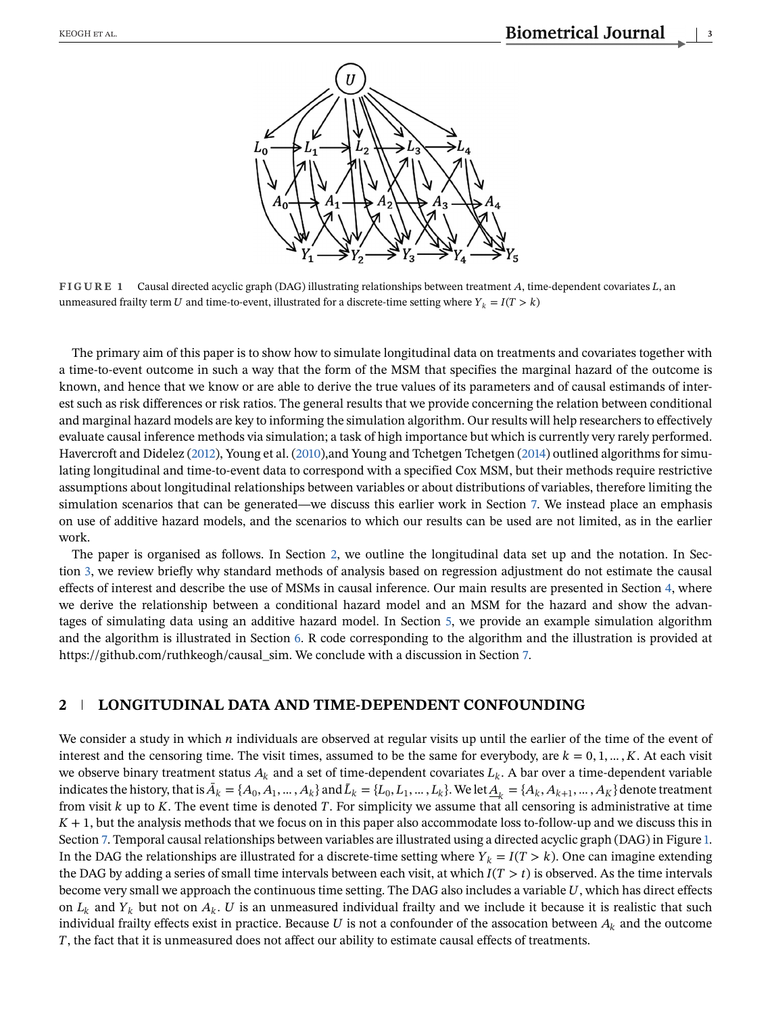<span id="page-2-0"></span>

**FIGURE 1** Causal directed acyclic graph (DAG) illustrating relationships between treatment A, time-dependent covariates L, an unmeasured frailty term U and time-to-event, illustrated for a discrete-time setting where  $Y_k = I(T > k)$ 

The primary aim of this paper is to show how to simulate longitudinal data on treatments and covariates together with a time-to-event outcome in such a way that the form of the MSM that specifies the marginal hazard of the outcome is known, and hence that we know or are able to derive the true values of its parameters and of causal estimands of interest such as risk differences or risk ratios. The general results that we provide concerning the relation between conditional and marginal hazard models are key to informing the simulation algorithm. Our results will help researchers to effectively evaluate causal inference methods via simulation; a task of high importance but which is currently very rarely performed. Havercroft and Didelez [\(2012\)](#page-15-0), Young et al. [\(2010\)](#page-15-0),and Young and Tchetgen Tchetgen [\(2014\)](#page-15-0) outlined algorithms for simulating longitudinal and time-to-event data to correspond with a specified Cox MSM, but their methods require restrictive assumptions about longitudinal relationships between variables or about distributions of variables, therefore limiting the simulation scenarios that can be generated—we discuss this earlier work in Section [7.](#page-11-0) We instead place an emphasis on use of additive hazard models, and the scenarios to which our results can be used are not limited, as in the earlier work.

The paper is organised as follows. In Section 2, we outline the longitudinal data set up and the notation. In Section [3,](#page-3-0) we review briefly why standard methods of analysis based on regression adjustment do not estimate the causal effects of interest and describe the use of MSMs in causal inference. Our main results are presented in Section [4,](#page-5-0) where we derive the relationship between a conditional hazard model and an MSM for the hazard and show the advantages of simulating data using an additive hazard model. In Section [5,](#page-8-0) we provide an example simulation algorithm and the algorithm is illustrated in Section [6.](#page-9-0) R code corresponding to the algorithm and the illustration is provided at https://github.com/ruthkeogh/causal\_sim. We conclude with a discussion in Section [7.](#page-11-0)

## **2 LONGITUDINAL DATA AND TIME-DEPENDENT CONFOUNDING**

We consider a study in which  $n$  individuals are observed at regular visits up until the earlier of the time of the event of interest and the censoring time. The visit times, assumed to be the same for everybody, are  $k = 0, 1, ..., K$ . At each visit we observe binary treatment status  $A_k$  and a set of time-dependent covariates  $L_k$ . A bar over a time-dependent variable indicates the history, that is  $\bar{A}_k = \{A_0, A_1, ..., A_k\}$  and  $\bar{L}_k = \{L_0, L_1, ..., L_k\}$ . We let  $\underline{A}_k = \{A_k, A_{k+1}, ..., A_K\}$  denote treatment<br>from visit k up to K. The event time is denoted T. For simplicity we assume that all from visit  $k$  up to  $K$ . The event time is denoted T. For simplicity we assume that all censoring is administrative at time  $K + 1$ , but the analysis methods that we focus on in this paper also accommodate loss to-follow-up and we discuss this in Section [7.](#page-11-0) Temporal causal relationships between variables are illustrated using a directed acyclic graph (DAG) in Figure 1. In the DAG the relationships are illustrated for a discrete-time setting where  $Y_k = I(T > k)$ . One can imagine extending the DAG by adding a series of small time intervals between each visit, at which  $I(T > t)$  is observed. As the time intervals become very small we approach the continuous time setting. The DAG also includes a variable  $U$ , which has direct effects on  $L_k$  and  $Y_k$  but not on  $A_k$ . U is an unmeasured individual frailty and we include it because it is realistic that such individual frailty effects exist in practice. Because U is not a confounder of the assocation between  $A_k$  and the outcome , the fact that it is unmeasured does not affect our ability to estimate causal effects of treatments.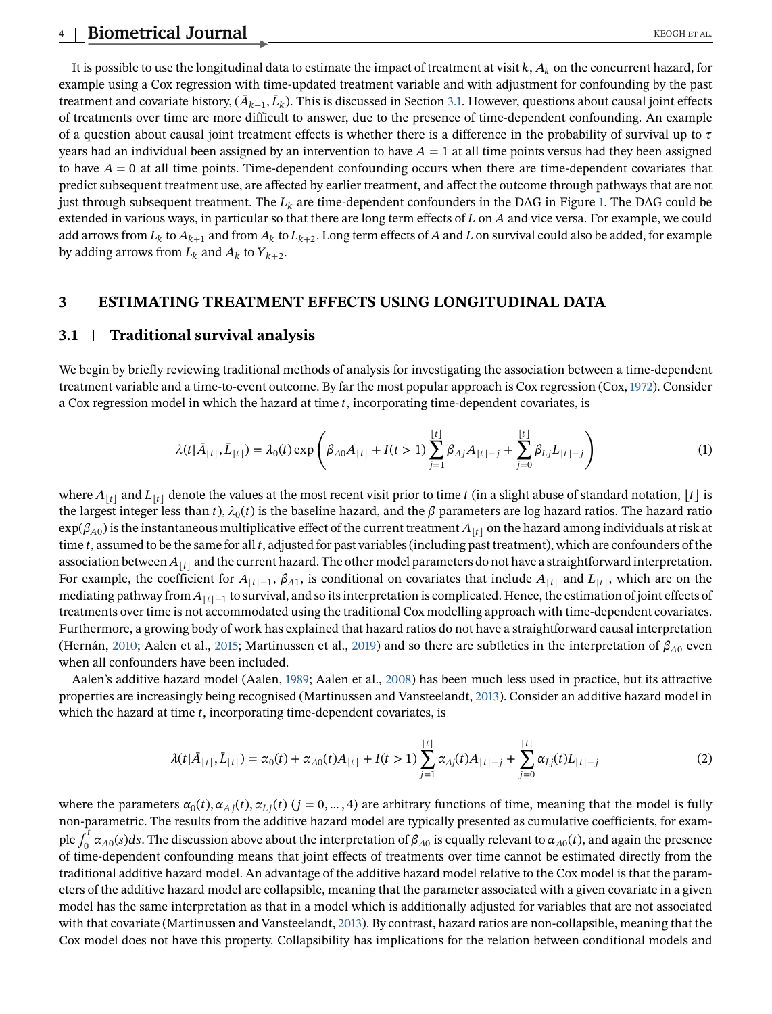# <span id="page-3-0"></span>**4** KEOGH et al.

It is possible to use the longitudinal data to estimate the impact of treatment at visit  $k$ ,  $A_k$  on the concurrent hazard, for example using a Cox regression with time-updated treatment variable and with adjustment for confounding by the past treatment and covariate history,  $(A_{k-1}, L_k)$ . This is discussed in Section 3.1. However, questions about causal joint effects<br>of treatments over time are more difficult to answer, due to the presence of time-dependent con of treatments over time are more difficult to answer, due to the presence of time-dependent confounding. An example of a question about causal joint treatment effects is whether there is a difference in the probability of survival up to  $\tau$ years had an individual been assigned by an intervention to have  $A = 1$  at all time points versus had they been assigned to have  $A = 0$  at all time points. Time-dependent confounding occurs when there are time-dependent covariates that predict subsequent treatment use, are affected by earlier treatment, and affect the outcome through pathways that are not just through subsequent treatment. The  $L_k$  are time-dependent confounders in the DAG in Figure [1.](#page-2-0) The DAG could be extended in various ways, in particular so that there are long term effects of  $L$  on  $A$  and vice versa. For example, we could add arrows from  $L_k$  to  $A_{k+1}$  and from  $A_k$  to  $L_{k+2}$ . Long term effects of A and L on survival could also be added, for example by adding arrows from  $L_k$  and  $A_k$  to  $Y_{k+2}$ .

## **3 ESTIMATING TREATMENT EFFECTS USING LONGITUDINAL DATA**

## **3.1 Traditional survival analysis**

We begin by briefly reviewing traditional methods of analysis for investigating the association between a time-dependent treatment variable and a time-to-event outcome. By far the most popular approach is Cox regression (Cox, [1972\)](#page-14-0). Consider a Cox regression model in which the hazard at time  $t$ , incorporating time-dependent covariates, is

$$
\lambda(t|\bar{A}_{\lfloor t \rfloor}, \bar{L}_{\lfloor t \rfloor}) = \lambda_0(t) \exp\left(\beta_{A0}A_{\lfloor t \rfloor} + I(t > 1) \sum_{j=1}^{\lfloor t \rfloor} \beta_{Aj}A_{\lfloor t \rfloor - j} + \sum_{j=0}^{\lfloor t \rfloor} \beta_{Lj}L_{\lfloor t \rfloor - j}\right) \tag{1}
$$

where  $A_{|t|}$  and  $L_{|t|}$  denote the values at the most recent visit prior to time t (in a slight abuse of standard notation, |t| is the largest integer less than t),  $\lambda_0(t)$  is the baseline hazard, and the  $\beta$  parameters are log hazard ratios. The hazard ratio  $\exp(\beta_{A0})$  is the instantaneous multiplicative effect of the current treatment  $A_{|t|}$  on the hazard among individuals at risk at time  $t$ , assumed to be the same for all  $t$ , adjusted for past variables (including past treatment), which are confounders of the association between  $A_{|t|}$  and the current hazard. The other model parameters do not have a straightforward interpretation. For example, the coefficient for  $A_{|t|-1}$ ,  $\beta_{A1}$ , is conditional on covariates that include  $A_{|t|}$  and  $L_{|t|}$ , which are on the mediating pathway from  $A_{|t|-1}$  to survival, and so its interpretation is complicated. Hence, the estimation of joint effects of treatments over time is not accommodated using the traditional Cox modelling approach with time-dependent covariates. Furthermore, a growing body of work has explained that hazard ratios do not have a straightforward causal interpretation (Hernán, [2010;](#page-15-0) Aalen et al., [2015;](#page-14-0) Martinussen et al., [2019\)](#page-15-0) and so there are subtleties in the interpretation of  $\beta_{A0}$  even when all confounders have been included.

Aalen's additive hazard model (Aalen, [1989;](#page-14-0) Aalen et al., [2008\)](#page-14-0) has been much less used in practice, but its attractive properties are increasingly being recognised (Martinussen and Vansteelandt, [2013\)](#page-15-0). Consider an additive hazard model in which the hazard at time  $t$ , incorporating time-dependent covariates, is

$$
\lambda(t|\bar{A}_{\lfloor t \rfloor}, \bar{L}_{\lfloor t \rfloor}) = \alpha_0(t) + \alpha_{A0}(t)A_{\lfloor t \rfloor} + I(t > 1) \sum_{j=1}^{\lfloor t \rfloor} \alpha_{Aj}(t)A_{\lfloor t \rfloor - j} + \sum_{j=0}^{\lfloor t \rfloor} \alpha_{Lj}(t)L_{\lfloor t \rfloor - j}
$$
(2)

where the parameters  $\alpha_0(t)$ ,  $\alpha_{\text{A}}(t)$ ,  $\alpha_{\text{L}}(t)$  ( $j = 0, ..., 4$ ) are arbitrary functions of time, meaning that the model is fully non-parametric. The results from the additive hazard model are typically presented as cumulative coefficients, for example  $\int_0^t \alpha_{A0}(s)ds$ . The discussion above about the interpretation of  $\beta_{A0}$  is equally relevant to  $\alpha_{A0}(t)$ , and again the presence of time-dependent confounding means that ioint effects of treatments over time can of time-dependent confounding means that joint effects of treatments over time cannot be estimated directly from the traditional additive hazard model. An advantage of the additive hazard model relative to the Cox model is that the parameters of the additive hazard model are collapsible, meaning that the parameter associated with a given covariate in a given model has the same interpretation as that in a model which is additionally adjusted for variables that are not associated with that covariate (Martinussen and Vansteelandt, [2013\)](#page-15-0). By contrast, hazard ratios are non-collapsible, meaning that the Cox model does not have this property. Collapsibility has implications for the relation between conditional models and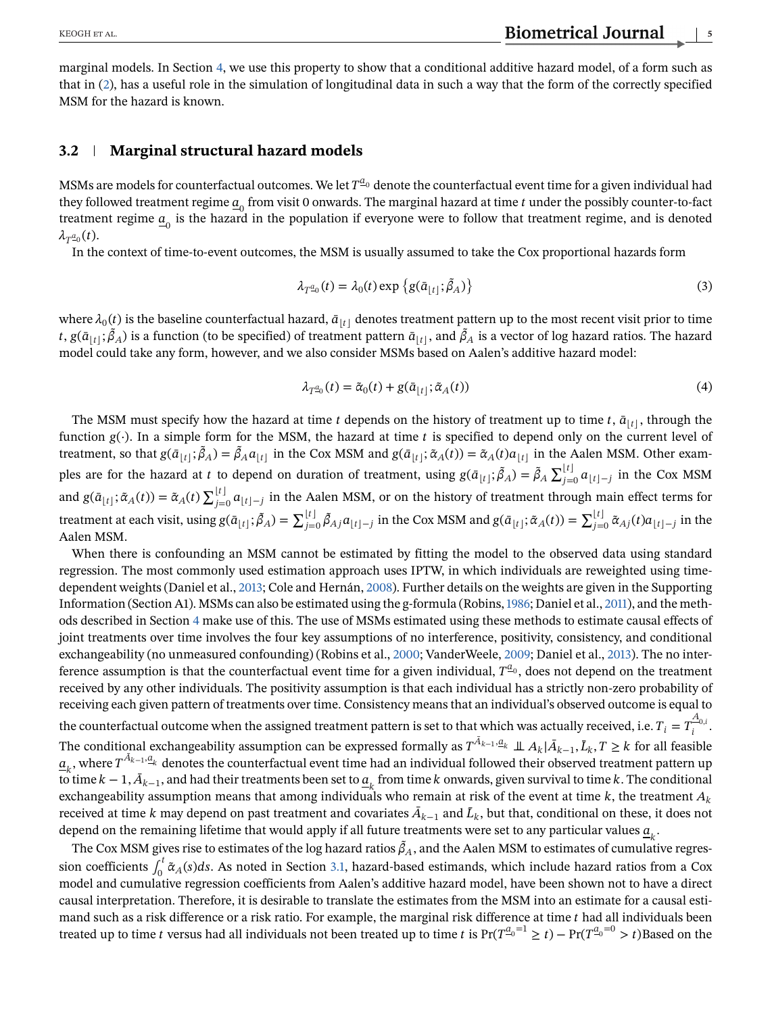<span id="page-4-0"></span>marginal models. In Section [4,](#page-5-0) we use this property to show that a conditional additive hazard model, of a form such as that in [\(2\)](#page-3-0), has a useful role in the simulation of longitudinal data in such a way that the form of the correctly specified MSM for the hazard is known.

## **3.2 Marginal structural hazard models**

MSMs are models for counterfactual outcomes. We let  $T^{\underline{a}_0}$  denote the counterfactual event time for a given individual had they followed treatment regime  $\underline{a}_0$  from visit 0 onwards. The marginal hazard at time *t* they followed treatment regime  $\underline{a}_0$  from visit 0 onwards. The marginal hazard at time  $t$  under the possibly counter-to-fact<br>treatment regime  $a$  is the hazard in the population if everyone were to follow that treatm treatment regime  $\underline{a}_0$  is the hazard in the population if everyone were to follow that treatment regime, and is denoted<br> $\lambda_{\pi^{a_0}}(t)$ .  $\lambda_{T_{-0}^{a}}(t)$ .

In the context of time-to-event outcomes, the MSM is usually assumed to take the Cox proportional hazards form

$$
\lambda_{T^{\underline{a}_0}}(t) = \lambda_0(t) \exp\left\{g(\bar{a}_{\lfloor t \rfloor}; \tilde{\beta}_A)\right\}
$$
\n(3)

where  $\lambda_0(t)$  is the baseline counterfactual hazard,  $\bar{a}_{1t}$  denotes treatment pattern up to the most recent visit prior to time *t*,  $g(\bar{a}_{\lfloor t\rfloor}; \beta_A)$  is a function (to be specified) of treatment pattern  $\bar{a}_{\lfloor t\rfloor}$ , and  $\beta_A$  is a vector of log hazard ratios. The hazard model could take any form, however, and we also consider MSMs based on model could take any form, however, and we also consider MSMs based on Aalen's additive hazard model:

$$
\lambda_{T^{\underline{a}_0}}(t) = \tilde{\alpha}_0(t) + g(\bar{a}_{\lfloor t \rfloor}; \tilde{\alpha}_A(t)) \tag{4}
$$

The MSM must specify how the hazard at time *t* depends on the history of treatment up to time *t*,  $\bar{a}_{|t|}$ , through the function  $g(\cdot)$ . In a simple form for the MSM, the hazard at time t is specified to depend only on the current level of treatment, so that  $g(\bar{a}_{[t]}; \beta_A) = \beta_A a_{[t]}$  in the Cox MSM and  $g(\bar{a}_{[t]}; \tilde{\alpha}_A(t)) = \tilde{\alpha}_A(t) a_{[t]}$  in the Aalen MSM. Other exam- $(y - \mu)$ ples are for the hazard at *t* to depend on duration of treatment, using  $g(\bar{a}_{\lfloor t \rfloor}; \beta)$ and  $g(\bar{a}_{[t]}; \tilde{\alpha}_A(t)) = \tilde{\alpha}_A(t) \sum_{j=0}^{[t]} a_{[t]-j}$  in the Aalen MSM, or on the history of treatment through main effect terms for  $\sum_{i=1}^{\lfloor t \rfloor}$  $\lim_{j=0} a_{\lfloor t \rfloor-j}$  in the Cox MSM treatment at each visit, using  $g(\bar{a}_{[t]}; \tilde{\beta}_A) = \sum_{j=0}^{[t]} \tilde{\beta}_{Aj} a_{[t]-j}$  in the Cox MSM and  $g(\bar{a}_{[t]}; \tilde{\alpha}_A(t)) = \sum_{j=0}^{[t]} \tilde{\alpha}_{Aj}(t) a_{[t]-j}$  in the Aalen MSM.

When there is confounding an MSM cannot be estimated by fitting the model to the observed data using standard regression. The most commonly used estimation approach uses IPTW, in which individuals are reweighted using timedependent weights (Daniel et al., [2013;](#page-14-0) Cole and Hernán, [2008\)](#page-14-0). Further details on the weights are given in the Supporting Information (Section A1). MSMs can also be estimated using the g-formula (Robins,[1986;](#page-15-0) Daniel et al., [2011\)](#page-14-0), and the methods described in Section [4](#page-5-0) make use of this. The use of MSMs estimated using these methods to estimate causal effects of joint treatments over time involves the four key assumptions of no interference, positivity, consistency, and conditional exchangeability (no unmeasured confounding) (Robins et al., [2000;](#page-15-0) VanderWeele, [2009;](#page-15-0) Daniel et al., [2013\)](#page-14-0). The no interference assumption is that the counterfactual event time for a given individual,  $T_{\alpha}^{\alpha}$ , does not depend on the treatment received by any other individuals. The positivity assumption is that each individual has a strictly non-zero probability of receiving each given pattern of treatments over time. Consistency means that an individual's observed outcome is equal to the counterfactual outcome when the assigned treatment pattern is set to that which was actually received, i.e.  $T_i = T_i^{-0,i}$ .<br>The conditional optimizes resulting commution and to approve a formalizes  $T^{\bar{A}_{k-1},a_{i-1}}$ , a The conditional exchangeability assumption can be expressed formally as  $T^{A_{k-1}, \underline{a}_k} \perp A_k | \overline{A}_{k-1}, \overline{L}_k, T \ge k$  for all feasible  $\alpha$ , where  $T^{\overline{A}_{k-1}, \underline{a}_k}$  denotes the counterfectual event time had an individ  $\underline{a}_k$ , where  $T^{A_{k-1},\underline{a}_k}$  denotes the counterfactual event time had an individual followed their observed treatment pattern up<br>to time  $k-1$   $\bar{A}_{k-1}$  and had their treatments been set to  $a$  -from time  $k$  onw to time  $k-1$ ,  $\bar{A}_{k-1}$ , and had their treatments been set to  $\underline{a}_k$  from time  $k$  onwards, given survival to time  $k$ . The conditional<br>exchangeability assumption means that among individuals who remain at risk of t

exchangeability assumption means that among individuals who remain at risk of the event at time  $k$ , the treatment  $A_k$ received at time k may depend on past treatment and covariates  $\bar{A}_{k-1}$  and  $\bar{L}_k$ , but that, conditional on these, it does not<br>depend on the remaining lifetime that would apply if all future treatments were set to a depend on the remaining lifetime that would apply if all future treatments were set to any particular values  $a_{i}$ .

The Cox MSM gives rise to estimates of the log hazard ratios  $\beta_A$ , and the Aalen MSM to estimates of cumulative regres-<br>experiences  $f^t$   $\tilde{x}$ , (c) de Aanatal in Saction 2.1 hazard hazal actives to rakish include haza sion coefficients  $\int_0^L \tilde{\alpha}_A(s)ds$ . As noted in Section [3.1,](#page-3-0) hazard-based estimands, which include hazard ratios from a Cox<br>model and cumulative regression coefficients from Aalen's additive hazard model, have been show model and cumulative regression coefficients from Aalen's additive hazard model, have been shown not to have a direct causal interpretation. Therefore, it is desirable to translate the estimates from the MSM into an estimate for a causal estimand such as a risk difference or a risk ratio. For example, the marginal risk difference at time  $t$  had all individuals been treated up to time *t* versus had all individuals not been treated up to time *t* is  $Pr(T^{a}o^{-1} \ge t) - Pr(T^{a}o^{-0} > t)$ Based on the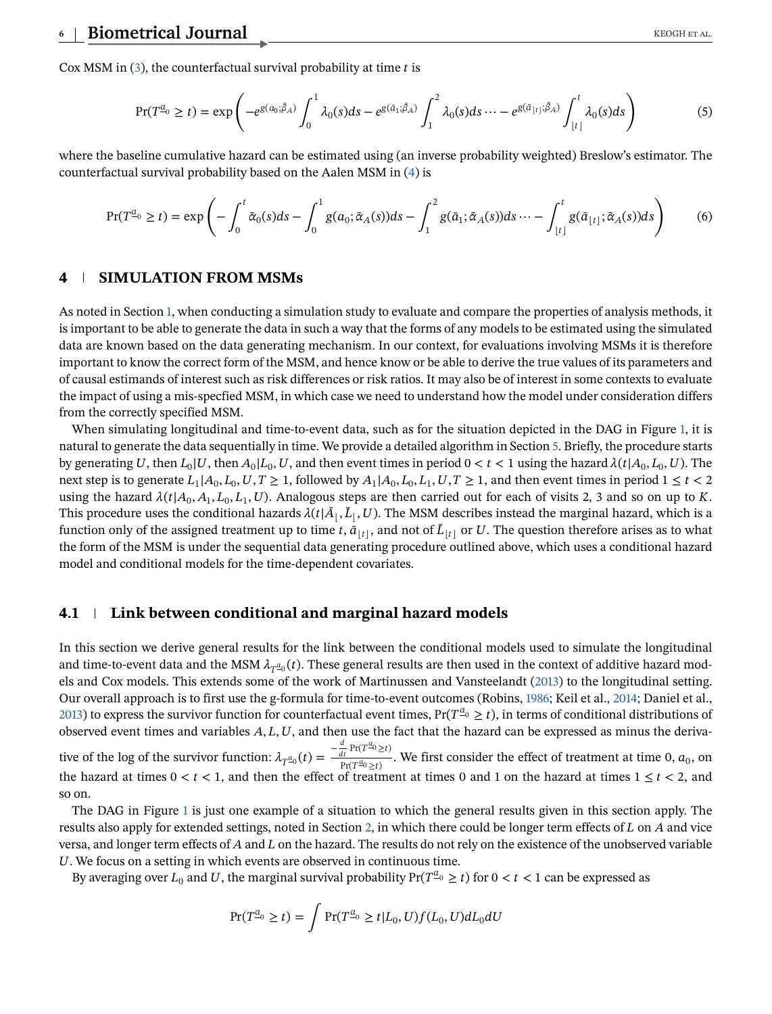<span id="page-5-0"></span>Cox MSM in  $(3)$ , the counterfactual survival probability at time t is

$$
\Pr(T^{\underline{a}_0} \ge t) = \exp\left(-e^{g(a_0;\tilde{\beta}_A)} \int_0^1 \lambda_0(s)ds - e^{g(\bar{a}_1;\tilde{\beta}_A)} \int_1^2 \lambda_0(s)ds \cdots - e^{g(\bar{a}_{|t|};\tilde{\beta}_A)} \int_{|t|}^t \lambda_0(s)ds\right) \tag{5}
$$

where the baseline cumulative hazard can be estimated using (an inverse probability weighted) Breslow's estimator. The counterfactual survival probability based on the Aalen MSM in [\(4\)](#page-4-0) is

$$
\Pr(T^{\underline{a}_0} \ge t) = \exp\left(-\int_0^t \tilde{\alpha}_0(s)ds - \int_0^1 g(a_0;\tilde{\alpha}_A(s))ds - \int_1^2 g(\bar{a}_1;\tilde{\alpha}_A(s))ds - \int_{\lfloor t \rfloor}^t g(\bar{a}_{\lfloor t \rfloor};\tilde{\alpha}_A(s))ds\right) \tag{6}
$$

## **4 SIMULATION FROM MSMs**

As noted in Section [1,](#page-1-0) when conducting a simulation study to evaluate and compare the properties of analysis methods, it is important to be able to generate the data in such a way that the forms of any models to be estimated using the simulated data are known based on the data generating mechanism. In our context, for evaluations involving MSMs it is therefore important to know the correct form of the MSM, and hence know or be able to derive the true values of its parameters and of causal estimands of interest such as risk differences or risk ratios. It may also be of interest in some contexts to evaluate the impact of using a mis-specfied MSM, in which case we need to understand how the model under consideration differs from the correctly specified MSM.

When simulating longitudinal and time-to-event data, such as for the situation depicted in the DAG in Figure [1,](#page-2-0) it is natural to generate the data sequentially in time. We provide a detailed algorithm in Section [5.](#page-8-0) Briefly, the procedure starts by generating U, then  $L_0|U$ , then  $A_0|L_0, U$ , and then event times in period  $0 < t < 1$  using the hazard  $\lambda(t|A_0, L_0, U)$ . The next step is to generate  $L_1|A_0, L_0, U, T \ge 1$ , followed by  $A_1|A_0, L_0, L_1, U, T \ge 1$ , and then event times in period  $1 \le t < 2$ using the hazard  $\lambda(t|A_0, A_1, L_0, L_1, U)$ . Analogous steps are then carried out for each of visits 2, 3 and so on up to K. This procedure uses the conditional hazards  $\lambda(t|\bar{A}_1, \bar{L}_1, U)$ . The MSM describes instead the marginal hazard, which is a function only of the assigned treatment up to time  $t, \bar{A}_1, \ldots, \bar{A}_n$  and not of  $\bar{L}_1, \ldots,$ function only of the assigned treatment up to time t,  $\bar{a}_{|t|}$ , and not of  $\bar{L}_{|t|}$  or U. The question therefore arises as to what the form of the MSM is under the sequential data generating procedure outlined above, which uses a conditional hazard model and conditional models for the time-dependent covariates.

#### **4.1 Link between conditional and marginal hazard models**

In this section we derive general results for the link between the conditional models used to simulate the longitudinal and time-to-event data and the MSM  $\lambda_{T_{0}}(t)$ . These general results are then used in the context of additive hazard models and Cox models. This extends some of the work of Martinussen and Vansteelandt [\(2013\)](#page-15-0) to the longitudinal setting. Our overall approach is to first use the g-formula for time-to-event outcomes (Robins, [1986;](#page-15-0) Keil et al., [2014;](#page-15-0) Daniel et al., [2013\)](#page-14-0) to express the survivor function for counterfactual event times,  $Pr(T^{\underline{a}} \ge t)$ , in terms of conditional distributions of observed event times and variables  $A, L, U$ , and then use the fact that the hazard can be expr observed event times and variables A, L, U, and then use the fact that the hazard can be expressed as minus the derivative of the log of the survivor function:  $\lambda_{T^{a_0}}(t) = -\frac{\frac{a}{dt} Pr(T^{a_0} \ge t)}{Pr(T^{a_0} \ge t)}$ . We first consider the effect of treatment at time 0,  $a_0$ , on the hazard at times  $0 < t < 1$  and then the effect of treatment at t the hazard at times  $0 < t < 1$ , and then the effect of treatment at times 0 and 1 on the hazard at times  $1 \le t < 2$ , and so on so on.

The DAG in Figure [1](#page-2-0) is just one example of a situation to which the general results given in this section apply. The results also apply for extended settings, noted in Section [2,](#page-2-0) in which there could be longer term effects of  $L$  on  $A$  and vice versa, and longer term effects of  $A$  and  $L$  on the hazard. The results do not rely on the existence of the unobserved variable . We focus on a setting in which events are observed in continuous time.

By averaging over  $L_0$  and U, the marginal survival probability  $Pr(T^{\underline{a}} \geq t)$  for  $0 < t < 1$  can be expressed as

$$
Pr(T^{a_0} \ge t) = \int Pr(T^{a_0} \ge t | L_0, U) f(L_0, U) dL_0 dU
$$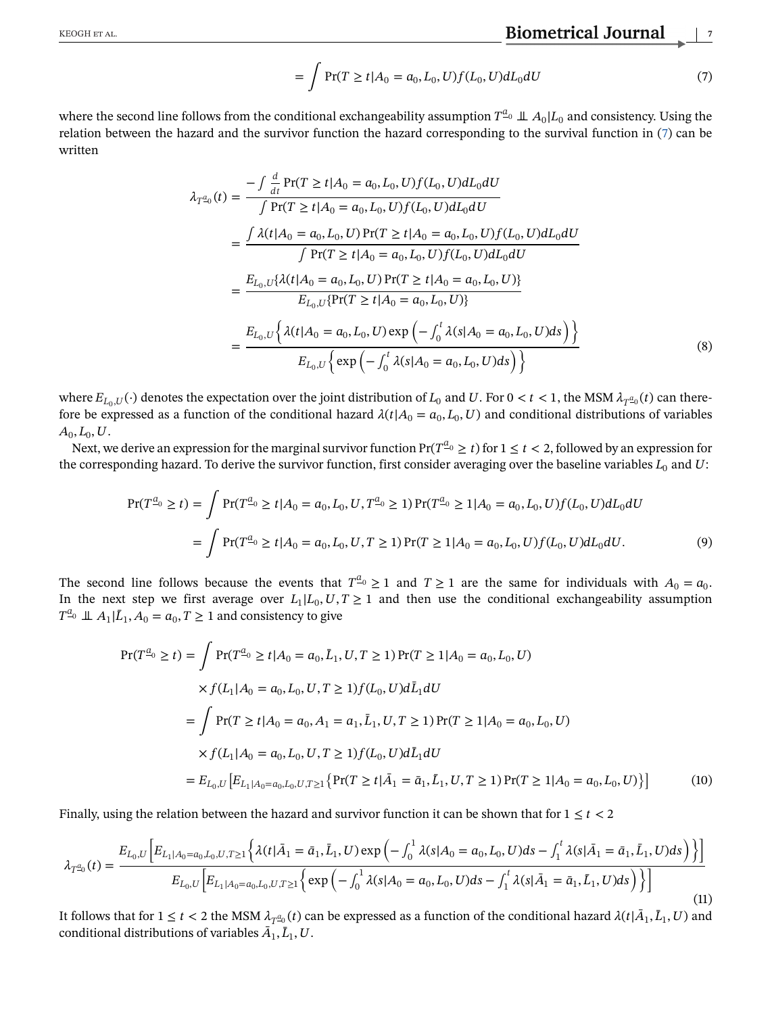$$
= \int \Pr(T \ge t | A_0 = a_0, L_0, U) f(L_0, U) dL_0 dU \tag{7}
$$

<span id="page-6-0"></span>where the second line follows from the conditional exchangeability assumption  $T_{\alpha}^{\alpha} \perp A_0 | L_0$  and consistency. Using the relation between the hazard and the survivor function the hazard corresponding to the survival function in (7) can be written

$$
\lambda_{T^{a_0}}(t) = \frac{-\int \frac{a}{dt} \Pr(T \ge t | A_0 = a_0, L_0, U) f(L_0, U) dL_0 dU}{\int \Pr(T \ge t | A_0 = a_0, L_0, U) f(L_0, U) dL_0 dU}
$$
\n
$$
= \frac{\int \lambda(t | A_0 = a_0, L_0, U) \Pr(T \ge t | A_0 = a_0, L_0, U) f(L_0, U) dL_0 dU}{\int \Pr(T \ge t | A_0 = a_0, L_0, U) f(L_0, U) dL_0 dU}
$$
\n
$$
= \frac{E_{L_0, U} \{\lambda(t | A_0 = a_0, L_0, U) \Pr(T \ge t | A_0 = a_0, L_0, U)\}}{E_{L_0, U} \{\Pr(T \ge t | A_0 = a_0, L_0, U)\}}
$$
\n
$$
= \frac{E_{L_0, U} \{\lambda(t | A_0 = a_0, L_0, U) \exp(-\int_0^t \lambda(s | A_0 = a_0, L_0, U) ds)\}}{E_{L_0, U} \{\exp(-\int_0^t \lambda(s | A_0 = a_0, L_0, U) ds)\}}
$$
\n(8)

where  $E_{L_0,U}(\cdot)$  denotes the expectation over the joint distribution of  $L_0$  and U. For  $0 < t < 1$ , the MSM  $\lambda_{T_{-0}}(t)$  can therefore be expressed as a function of the conditional hazard  $\lambda(t|A_0 = a_0, L_0, U)$  and conditional distributions of variables  $A_0, L_0, U$ .

Next, we derive an expression for the marginal survivor function  $Pr(T^{\underline{a}} \ge t)$  for  $1 \le t < 2$ , followed by an expression for the corresponding hazard. To derive the survivor function, first consider averaging over the baseline variables  $L_0$  and  $U$ :

$$
\Pr(T^{a} \circ \ge t) = \int \Pr(T^{a} \circ \ge t | A_{0} = a_{0}, L_{0}, U, T^{a} \circ \ge 1) \Pr(T^{a} \circ \ge 1 | A_{0} = a_{0}, L_{0}, U) f(L_{0}, U) dL_{0} dU
$$

$$
= \int \Pr(T^{a} \circ \ge t | A_{0} = a_{0}, L_{0}, U, T \ge 1) \Pr(T \ge 1 | A_{0} = a_{0}, L_{0}, U) f(L_{0}, U) dL_{0} dU. \tag{9}
$$

The second line follows because the events that  $T^{\underline{a}}_0 \ge 1$  and  $T \ge 1$  are the same for individuals with  $A_0 = a_0$ . In the next step we first average over  $L_1|L_0, U, T \ge 1$  and then use the conditional exchangeability assumption  $T^{a}$ <sup>0</sup>  $\perp \!\!\!\perp A_1 | \bar{L}_1, A_0 = a_0, T \geq 1$  and consistency to give

$$
\Pr(T^{a_0} \ge t) = \int \Pr(T^{a_0} \ge t | A_0 = a_0, \bar{L}_1, U, T \ge 1) \Pr(T \ge 1 | A_0 = a_0, L_0, U)
$$
  
\n
$$
\times f(L_1 | A_0 = a_0, L_0, U, T \ge 1) f(L_0, U) d\bar{L}_1 dU
$$
  
\n
$$
= \int \Pr(T \ge t | A_0 = a_0, A_1 = a_1, \bar{L}_1, U, T \ge 1) \Pr(T \ge 1 | A_0 = a_0, L_0, U)
$$
  
\n
$$
\times f(L_1 | A_0 = a_0, L_0, U, T \ge 1) f(L_0, U) d\bar{L}_1 dU
$$
  
\n
$$
= E_{L_0, U} [E_{L_1 | A_0 = a_0, L_0, U, T \ge 1} \{ \Pr(T \ge t | \bar{A}_1 = \bar{a}_1, \bar{L}_1, U, T \ge 1) \Pr(T \ge 1 | A_0 = a_0, L_0, U) \} ]
$$
(10)

Finally, using the relation between the hazard and survivor function it can be shown that for  $1 \le t < 2$ 

$$
\lambda_{T^{a_0}}(t) = \frac{E_{L_0,U}\Big[E_{L_1|A_0=a_0,L_0,U,T\geq 1}\Big\{\lambda(t|\bar{A}_1=\bar{a}_1,\bar{L}_1,U)\exp\Big(-\int_0^1\lambda(s|A_0=a_0,L_0,U)ds-\int_1^t\lambda(s|\bar{A}_1=\bar{a}_1,\bar{L}_1,U)ds\Big)\Big\}\Big]}{E_{L_0,U}\Big[E_{L_1|A_0=a_0,L_0,U,T\geq 1}\Big\{\exp\Big(-\int_0^1\lambda(s|A_0=a_0,L_0,U)ds-\int_1^t\lambda(s|\bar{A}_1=\bar{a}_1,\bar{L}_1,U)ds\Big)\Big\}\Big]}
$$
(11)

It follows that for  $1 \le t < 2$  the MSM  $\lambda_{T^{a_0}}(t)$  can be expressed as a function of the conditional hazard  $\lambda(t|\bar{A}_1, \bar{L}_1, U)$  and conditional distributions of variables  $\bar{A}$ ,  $\bar{L}$ ,  $\bar{L}$ conditional distributions of variables  $\bar{A}_1, \bar{L}_1, U$ .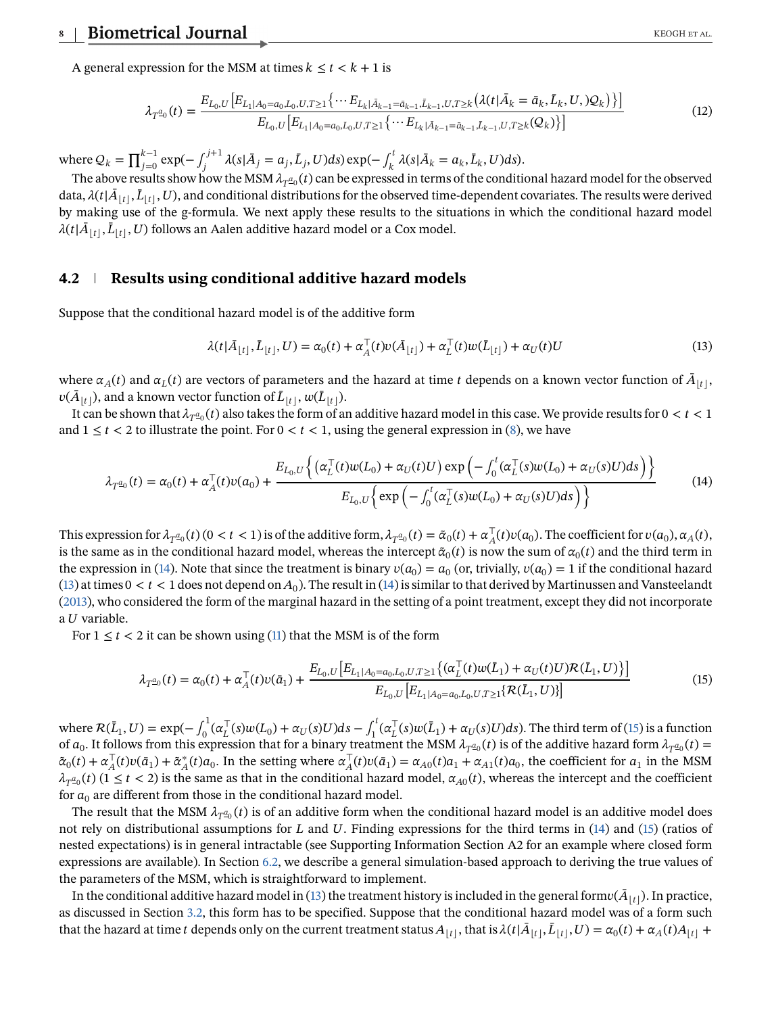<span id="page-7-0"></span>A general expression for the MSM at times  $k \le t \le k+1$  is

$$
\lambda_{T_{-0}}(t) = \frac{E_{L_0,U}\left[E_{L_1|A_0=a_0,L_0,U,T\geq 1}\left\{\cdots E_{L_k|\bar{A}_{k-1}=\bar{a}_{k-1},L_{k-1},U,T\geq k}\left(\lambda(t|\bar{A}_k=\bar{a}_k,\bar{L}_k,U,\mathcal{Q}_k)\right)\right\}\right]}{E_{L_0,U}\left[E_{L_1|A_0=a_0,L_0,U,T\geq 1}\left\{\cdots E_{L_k|\bar{A}_{k-1}=\bar{a}_{k-1},\bar{L}_{k-1},U,T\geq k}(Q_k)\right\}\right]}
$$
(12)

where  $Q_k = \prod_{j=0}^{k-1} \exp(-\int_j^{j+1} \lambda(s|\bar{A}_j = a_j, \bar{L}_j, U) ds) \exp(-\int_k^t \lambda(s|\bar{A}_k = a_k, \bar{L}_k, U) ds)$ .<br>The above results show how the MSM  $\lambda_{i,j}$  (t) can be expressed in terms of the condition

The above results show how the MSM  $\lambda_{T^{a_0}}(t)$  can be expressed in terms of the conditional hazard model for the observed data,  $\lambda(t|\bar{A}_{[t]}, \bar{L}_{[t]}, U)$ , and conditional distributions for the observed time-dependent covariates. The results were derived<br>by making use of the a-formula. We next apply these results to the situations in which the by making use of the g-formula. We next apply these results to the situations in which the conditional hazard model  $\lambda(t|\bar A_{\lfloor t \rfloor}, L_{\lfloor t \rfloor}, U)$  follows an Aalen additive hazard model or a Cox model.

## **4.2 Results using conditional additive hazard models**

Suppose that the conditional hazard model is of the additive form

$$
\lambda(t|\bar{A}_{\lfloor t \rfloor}, \bar{L}_{\lfloor t \rfloor}, U) = \alpha_0(t) + \alpha_A^{\top}(t)v(\bar{A}_{\lfloor t \rfloor}) + \alpha_L^{\top}(t)w(\bar{L}_{\lfloor t \rfloor}) + \alpha_U(t)U
$$
\n(13)

where  $\alpha_A(t)$  and  $\alpha_L(t)$  are vectors of parameters and the hazard at time t depends on a known vector function of  $A_{\lfloor t \rfloor}$ ,  $v(A_{[t]})$ , and a known vector function of  $\overline{L}_{[t]}$ ,  $w(\overline{L}_{[t]})$ .<br>It can be shown that  $\lambda_{[s]}$  (t) also takes the form of a

It can be shown that  $\lambda_{T^{a_0}}(t)$  also takes the form of an additive hazard model in this case. We provide results for  $0 < t < 1$ and  $1 \le t < 2$  to illustrate the point. For  $0 < t < 1$ , using the general expression in [\(8\)](#page-6-0), we have

$$
\lambda_{T_{-a_0}}(t) = \alpha_0(t) + \alpha_A^{\mathsf{T}}(t)v(a_0) + \frac{E_{L_0,U}\left\{ \left( \alpha_L^{\mathsf{T}}(t)w(L_0) + \alpha_U(t)U \right) \exp\left( -\int_0^t (\alpha_L^{\mathsf{T}}(s)w(L_0) + \alpha_U(s)U)ds \right) \right\}}{E_{L_0,U}\left\{ \exp\left( -\int_0^t (\alpha_L^{\mathsf{T}}(s)w(L_0) + \alpha_U(s)U)ds \right) \right\}}
$$
(14)

This expression for  $\lambda_{T^{a_0}}(t)$  (0 < t < 1) is of the additive form,  $\lambda_{T^{a_0}}(t) = \tilde{\alpha}_0(t) + \alpha_A^{\perp}(t)v(a_0)$ . The coefficient for  $v(a_0), \alpha_A(t)$ ,  $\alpha_A(t)$ ,  $\alpha_A(t)$ is the same as in the conditional hazard model, whereas the intercept  $\tilde{\alpha}_0(t)$  is now the sum of  $\alpha_0(t)$  and the third term in the expression in (14). Note that since the treatment is binary  $v(a_0)=a_0$  (or, trivially,  $v(a_0)=1$  if the conditional hazard (13) at times  $0 < t < 1$  does not depend on  $A_0$ ). The result in (14) is similar to that derived by Martinussen and Vansteelandt [\(2013\)](#page-15-0), who considered the form of the marginal hazard in the setting of a point treatment, except they did not incorporate  $a$   $U$  variable.

For  $1 \le t < 2$  it can be shown using [\(11\)](#page-6-0) that the MSM is of the form

$$
\lambda_{T_{-}^{a_0}}(t) = \alpha_0(t) + \alpha_A^{\top}(t)v(\bar{a}_1) + \frac{E_{L_0,U}[E_{L_1|A_0=a_0,L_0,U,T\geq 1}\{(\alpha_L^{\top}(t)w(\bar{L}_1) + \alpha_U(t)U)\mathcal{R}(\bar{L}_1,U)\}]}{E_{L_0,U}[E_{L_1|A_0=a_0,L_0,U,T\geq 1}\{\mathcal{R}(\bar{L}_1,U)\}]}
$$
(15)

where  $\mathcal{R}(\bar{L}_1, U) = \exp(-\int_0^1 (\alpha_L^{\top}(s)w(L_0) + \alpha_U(s)U)ds - \int_1^1 (\alpha_L^{\top}(s)w(\bar{L}_1) + \alpha_U(s)U)ds)$ . The third term of (15) is a function of  $a_s$ . It follows from this expression that for a binary treatment the MSM  $\lambda_{-a}(t)$  is o  $\frac{1}{2}$  ( $\alpha_L$  (*s)w*(*L*<sub>0</sub>) +  $\alpha_U$ (*s)U*)*as* =  $f_1$  ( $\alpha_L$ )<br>expression that for a binary treatmen of  $a_0$ . It follows from this expression that for a binary treatment the MSM  $\lambda_{T_{\alpha_0}}(t)$  is of the additive hazard form  $\lambda_{T_{\alpha_0}}(t) = \tilde{a}$  (t)  $\lambda_{T_{\alpha_0}}(t) = \tilde{a}$  (t)  $\lambda_{T_{\alpha_0}}(t) = \tilde{a}$  (t)  $\lambda_{T_{\alpha_0}}(t) =$  $\tilde{\alpha}_0(t) + \alpha_A^1(t)v(\bar{a}_1) + \tilde{\alpha}_A^*(t)a_0$ . In the setting where  $\alpha_A^1(t)v(\bar{a}_1) = \alpha_{A0}(t)a_1 + \alpha_{A1}(t)a_0$ , the coefficient for  $a_1$  in the MSM<br> $\lambda_{-a}(t)$  (1 < t < 2) is the same as that in the conditional hazard model  $\alpha_{-a$  $\alpha_0(t) + \alpha_A(t)\alpha_0(t) + \alpha_A(t)\alpha_0$ . In the setting where  $\alpha_A(t)\alpha_1(t) = \alpha_{A0}(t)\alpha_1 + \alpha_{A1}(t)\alpha_0$ , the coefficient for  $\alpha_1$  in the MSM  $\lambda_{T^{a_0}}(t)$  (1  $\le t < 2$ ) is the same as that in the conditional hazard model,  $\alpha_{A0}(t)$ , w for  $a_0$  are different from those in the conditional hazard model.

The result that the MSM  $\lambda_{T^2(0)}(t)$  is of an additive form when the conditional hazard model is an additive model does not rely on distributional assumptions for  $L$  and  $U$ . Finding expressions for the third terms in (14) and (15) (ratios of nested expectations) is in general intractable (see Supporting Information Section A2 for an example where closed form expressions are available). In Section [6.2,](#page-9-0) we describe a general simulation-based approach to deriving the true values of the parameters of the MSM, which is straightforward to implement.

In the conditional additive hazard model in (13) the treatment history is included in the general form $v(\bar{A}_{[t]})$ . In practice, discussed in Section 3.2, this form has to be specified. Suppose that the conditional hazard as discussed in Section [3.2,](#page-4-0) this form has to be specified. Suppose that the conditional hazard model was of a form such that the hazard at time t depends only on the current treatment status  $A_{[t]}$ , that is  $\lambda(t|\bar{A}_{[t]},\bar{L}_{[t]},U) = \alpha_0(t) + \alpha_A(t)A_{[t]} +$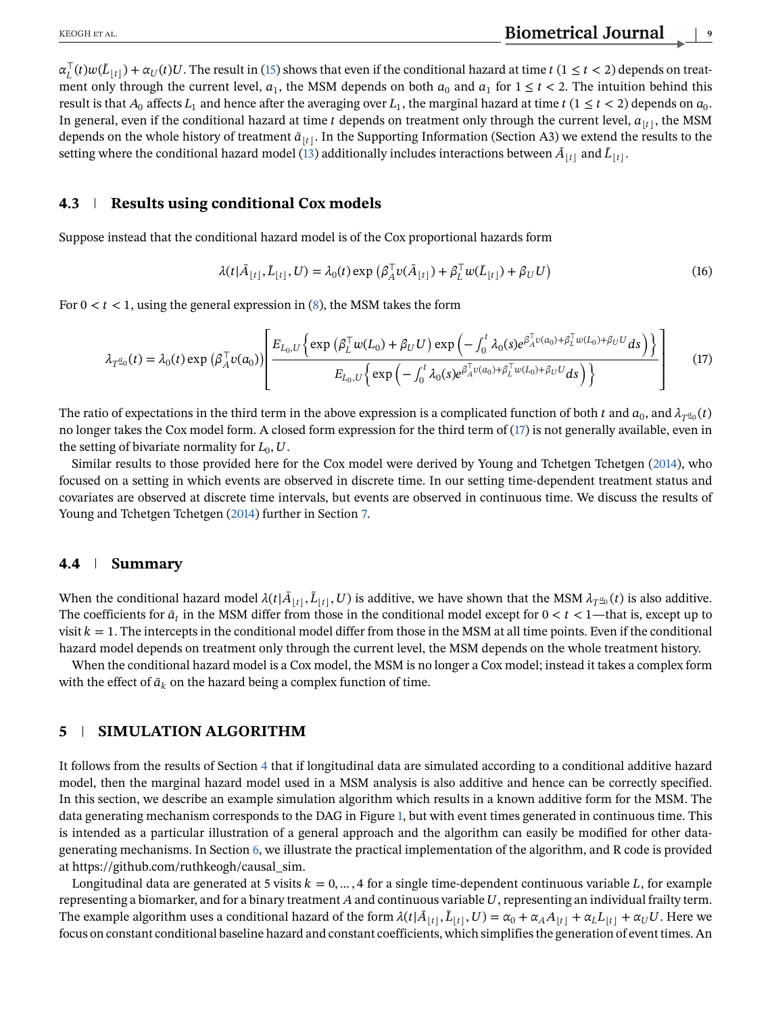<span id="page-8-0"></span> $\alpha_L^{\top}(t)w(L_{\lfloor t\rfloor})+\alpha_U(t)U$ . The result in [\(15\)](#page-7-0) shows that even if the conditional hazard at time  $t$  (1 ≤ t < 2) depends on treat-<br>ment only through the current level at the MSM depends on both  $a_2$  and  $a_1$  for 1 < t ment only through the current level,  $a_1$ , the MSM depends on both  $a_0$  and  $a_1$  for  $1 \le t < 2$ . The intuition behind this result is that  $A_0$  affects  $L_1$  and hence after the averaging over  $L_1$ , the marginal hazard at time  $t (1 \le t < 2)$  depends on  $a_0$ . In general, even if the conditional hazard at time  $t$  depends on treatment only through the current level,  $a_{1t}$ , the MSM depends on the whole history of treatment  $\bar{a}_{1t}$ . In the Supporting Information (Section A3) we extend the results to the setting where the conditional hazard model [\(13\)](#page-7-0) additionally includes interactions between  $A_{\lfloor t\rfloor}$  and  $L_{\lfloor t\rfloor}.$ 

#### **4.3 Results using conditional Cox models**

Suppose instead that the conditional hazard model is of the Cox proportional hazards form

$$
\lambda(t|\bar{A}_{\lfloor t \rfloor}, L_{\lfloor t \rfloor}, U) = \lambda_0(t) \exp \left( \beta_A^{\top} v(\bar{A}_{\lfloor t \rfloor}) + \beta_L^{\top} w(L_{\lfloor t \rfloor}) + \beta_U U \right)
$$
(16)

For  $0 < t < 1$ , using the general expression in [\(8\)](#page-6-0), the MSM takes the form

$$
\lambda_{T^{a_0}}(t) = \lambda_0(t) \exp\left(\beta_A^{\top} v(a_0)\right) \left[ \frac{E_{L_0,U}\left\{\exp\left(\beta_L^{\top} w(L_0) + \beta_U U\right) \exp\left(-\int_0^t \lambda_0(s) e^{\beta_A^{\top} v(a_0) + \beta_L^{\top} w(L_0) + \beta_U U} ds\right)\right\}}{E_{L_0,U}\left\{\exp\left(-\int_0^t \lambda_0(s) e^{\beta_A^{\top} v(a_0) + \beta_L^{\top} w(L_0) + \beta_U U} ds\right)\right\}}\right]
$$
(17)

The ratio of expectations in the third term in the above expression is a complicated function of both t and  $a_0$ , and  $\lambda_{T_c}g_0(t)$ no longer takes the Cox model form. A closed form expression for the third term of (17) is not generally available, even in the setting of bivariate normality for  $L_0$ ,  $U$ .

Similar results to those provided here for the Cox model were derived by Young and Tchetgen Tchetgen [\(2014\)](#page-15-0), who focused on a setting in which events are observed in discrete time. In our setting time-dependent treatment status and covariates are observed at discrete time intervals, but events are observed in continuous time. We discuss the results of Young and Tchetgen Tchetgen [\(2014\)](#page-15-0) further in Section [7.](#page-11-0)

#### **4.4 Summary**

When the conditional hazard model  $\lambda(t|\bar{A}_{t}|, \bar{L}_{t}|, U)$  is additive, we have shown that the MSM  $\lambda_{T_{t}}^{a}(t)$  is also additive.<br>The coefficients for  $\bar{a}$  in the MSM differ from those in the conditional model except The coefficients for  $\bar{a}_t$  in the MSM differ from those in the conditional model except for  $0 < t < 1$ —that is, except up to visit  $k=1$ . The intercepts in the conditional model differ from those in the MSM at all time points. Even if the conditional hazard model depends on treatment only through the current level, the MSM depends on the whole treatment history.

When the conditional hazard model is a Cox model, the MSM is no longer a Cox model; instead it takes a complex form with the effect of  $\bar{a}_k$  on the hazard being a complex function of time.

## **5 SIMULATION ALGORITHM**

It follows from the results of Section [4](#page-5-0) that if longitudinal data are simulated according to a conditional additive hazard model, then the marginal hazard model used in a MSM analysis is also additive and hence can be correctly specified. In this section, we describe an example simulation algorithm which results in a known additive form for the MSM. The data generating mechanism corresponds to the DAG in Figure [1,](#page-2-0) but with event times generated in continuous time. This is intended as a particular illustration of a general approach and the algorithm can easily be modified for other datagenerating mechanisms. In Section [6,](#page-9-0) we illustrate the practical implementation of the algorithm, and R code is provided at https://github.com/ruthkeogh/causal\_sim.

Longitudinal data are generated at 5 visits  $k = 0, \ldots, 4$  for a single time-dependent continuous variable L, for example representing a biomarker, and for a binary treatment  $A$  and continuous variable  $U$ , representing an individual frailty term. The example algorithm uses a conditional hazard of the form  $\lambda(t|\bar{A}_{[t]}, L_{[t]}, U) = \alpha_0 + \alpha_A A_{[t]} + \alpha_L L_{[t]} + \alpha_U U$ . Here we are approximately the conditional hazard and constant coefficients which simplifies the concretion of s focus on constant conditional baseline hazard and constant coefficients, which simplifies the generation of event times. An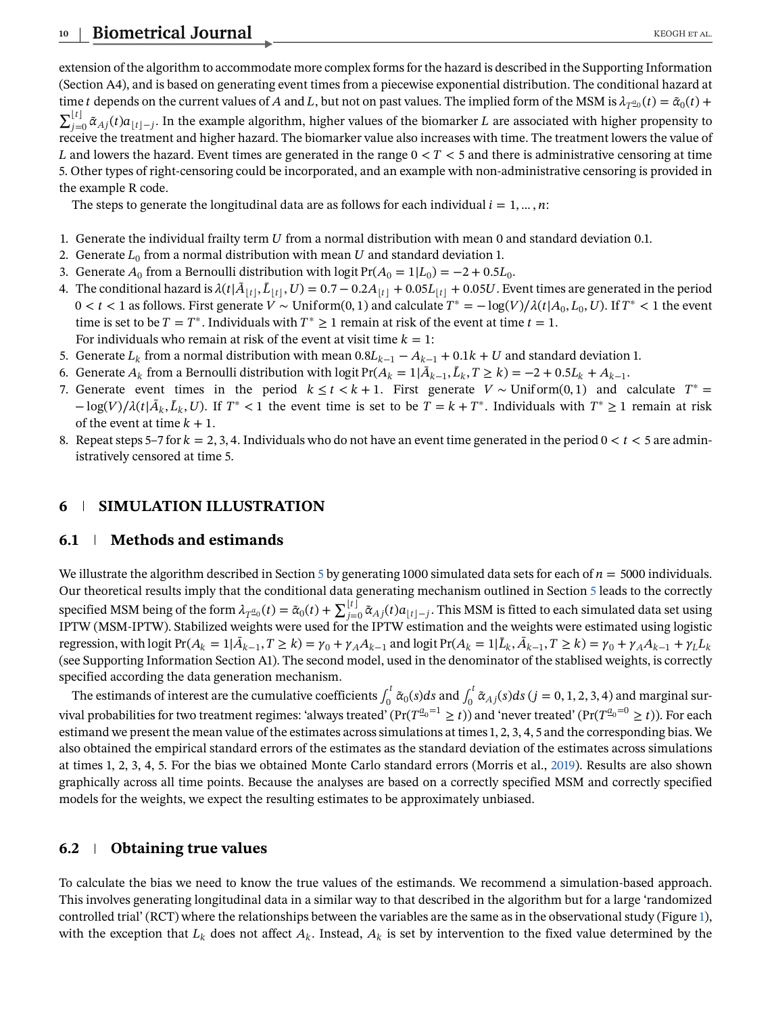<span id="page-9-0"></span>extension of the algorithm to accommodate more complex forms for the hazard is described in the Supporting Information (Section A4), and is based on generating event times from a piecewise exponential distribution. The conditional hazard at time *t* depends on the current values of A and L, but not on past values. The implied form of the MSM is  $\lambda_{T_{-}^{a_0}}(t) = \tilde{\alpha}_0(t) +$  $\sum_{i=1}^{\lfloor t \rfloor}$  $\int_{t=0}^{t_{-1}} \tilde{\alpha}_{Aj}(t) a_{\lfloor t \rfloor -j}.$  In the example algorithm, higher values of the biomarker  $L$  are associated with higher propensity to<br>ceive the treatment and higher hazard. The biomarker value also increases with ti receive the treatment and higher hazard. The biomarker value also increases with time. The treatment lowers the value of L and lowers the hazard. Event times are generated in the range  $0 < T < 5$  and there is administrative censoring at time 5. Other types of right-censoring could be incorporated, and an example with non-administrative censoring is provided in the example R code.

The steps to generate the longitudinal data are as follows for each individual  $i = 1, ..., n$ :

- 1. Generate the individual frailty term  $U$  from a normal distribution with mean 0 and standard deviation 0.1.
- 2. Generate  $L_0$  from a normal distribution with mean U and standard deviation 1.
- 3. Generate  $A_0$  from a Bernoulli distribution with logit Pr( $A_0 = 1|L_0 = -2 + 0.5L_0$ .
- 4. The conditional hazard is  $\lambda(t|\bar{A}_{[t]}, \bar{L}_{[t]}, U) = 0.7 0.2A_{[t]} + 0.05L_{[t]} + 0.05U$ . Event times are generated in the period  $0 < t < 1$  as follows. Eirst generate  $V \sim$  Uniform(0, 1) and calculate  $T^* = -\log(V)/\lambda(t|A, I, II)$  If  $0 < t < 1$  as follows. First generate  $V \sim \text{Uniform}(0, 1)$  and calculate  $T^* = -\log(V)/\lambda(t|A_0, L_0, U)$ . If  $T^* < 1$  the event time is set to be  $T = T^*$ . Individuals with  $T^* \ge 1$  remain at risk of the event at time  $t = 1$ . For individuals who remain at risk of the event at visit time  $k = 1$ :
- 5. Generate  $L_k$  from a normal distribution with mean  $0.8L_{k-1} A_{k-1} + 0.1k + U$  and standard deviation 1.
- 6. Generate  $A_k$  from a Bernoulli distribution with logit Pr( $A_k = 1 | \bar{A}_{k-1}, \bar{L}_k, T \ge k$ ) = -2 + 0.5 $L_k + A_{k-1}$ .<br>
7. Generate, synt times in the period  $k \le t \le k+1$ . First generate  $V_{k-1}$  Uniform(0,1), and a
- 7. Generate event times in the period  $k \le t < k+1$ . First generate  $V \sim \text{Uniform}(0, 1)$  and calculate  $T^* =$  $-\log(V)/\lambda(t|\bar{A}_k, \bar{L}_k, U)$ . If  $T^* < 1$  the event time is set to be  $T = k + T^*$ . Individuals with  $T^* \ge 1$  remain at risk of the event at time  $k+1$ of the event at time  $k + 1$ .
- 8. Repeat steps 5–7 for  $k = 2, 3, 4$ . Individuals who do not have an event time generated in the period  $0 < t < 5$  are administratively censored at time 5.

## **6 SIMULATION ILLUSTRATION**

## **6.1 Methods and estimands**

We illustrate the algorithm described in Section [5](#page-8-0) by generating 1000 simulated data sets for each of  $n = 5000$  individuals. Our theoretical results imply that the conditional data generating mechanism outlined in Section [5](#page-8-0) leads to the correctly specified MSM being of the form  $\lambda_{T^{\underline{a}}_0}(t) = \tilde{\alpha}_0(t) + \sum_{j=0}^{\lfloor t \rfloor} \tilde{\alpha}_{Aj}(t) a_{\lfloor t \rfloor-j}$ . This MSM is fitted to each simulated data set using IPTW (MSM-IPTW). Stabilized weights were used for the IPTW estimation IPTW (MSM-IPTW). Stabilized weights were used for the IPTW estimation and the weights were estimated using logistic regression, with logit Pr( $A_k = 1 | \bar{A}_{k-1}, T \ge k$ ) =  $\gamma_0 + \gamma_A A_{k-1}$  and logit Pr( $A_k = 1 | \bar{L}_k, \bar{A}_{k-1}, T \ge k$ ) =  $\gamma_0 + \gamma_A A_{k-1} + \gamma_L L_k$ (see Supporting Information Section A1). The second model, used in the denominator of the stablised weights, is correctly specified according the data generation mechanism.

The estimands of interest are the cumulative coefficients  $\int_0^t \tilde{\alpha}_0(s)ds$  and  $\int_0^t \tilde{\alpha}_{Aj}(s)ds$   $(j = 0, 1, 2, 3, 4)$  and marginal sur-<br>relaxable lities for two tractment regimes: 'elways treated' ( $\Pr(T^{a_0=1} > t)$ ) and vival probabilities for two treatment regimes: 'always treated'  $(\Pr(T^{\underline{a}_0=1} \geq t))$  and 'never treated'  $(\Pr(T^{\underline{a}_0=0} \geq t))$ . For each<br>estimand we present the mean value of the estimates across simulations at times 1, 2, estimand we present the mean value of the estimates across simulations at times 1, 2, 3, 4, 5 and the corresponding bias. We also obtained the empirical standard errors of the estimates as the standard deviation of the estimates across simulations at times 1, 2, 3, 4, 5. For the bias we obtained Monte Carlo standard errors (Morris et al., [2019\)](#page-15-0). Results are also shown graphically across all time points. Because the analyses are based on a correctly specified MSM and correctly specified models for the weights, we expect the resulting estimates to be approximately unbiased.

## **6.2 Obtaining true values**

To calculate the bias we need to know the true values of the estimands. We recommend a simulation-based approach. This involves generating longitudinal data in a similar way to that described in the algorithm but for a large 'randomized controlled trial' (RCT) where the relationships between the variables are the same as in the observational study (Figure [1\)](#page-2-0), with the exception that  $L_k$  does not affect  $A_k$ . Instead,  $A_k$  is set by intervention to the fixed value determined by the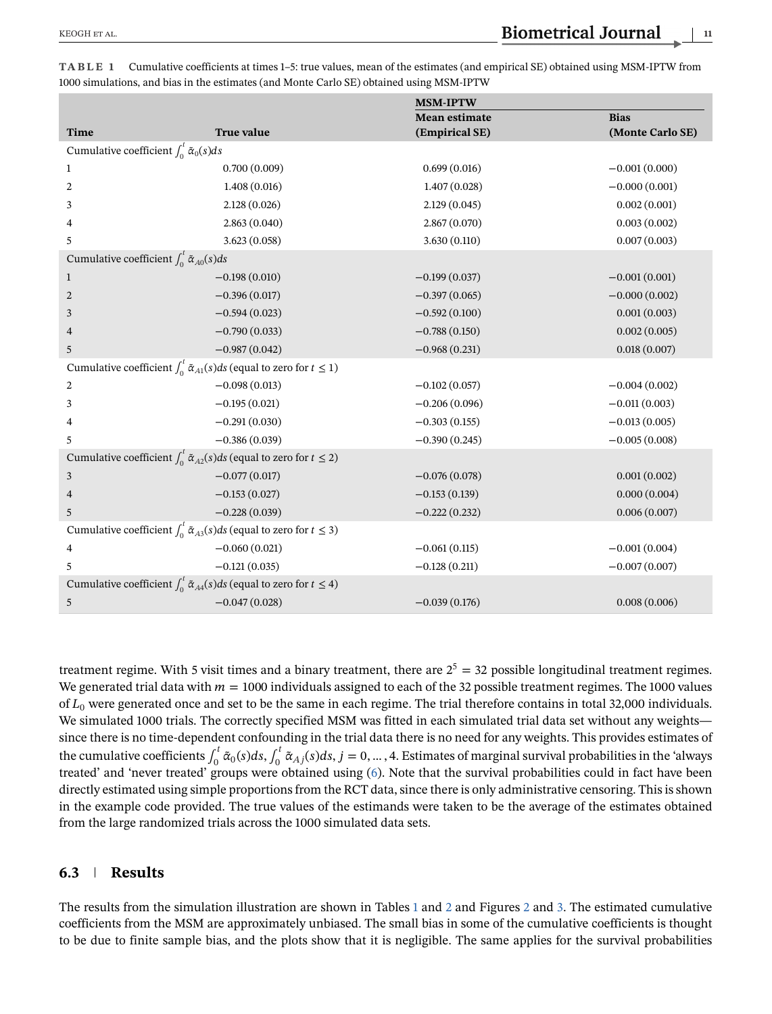|                                                                                           |                                                                                           | <b>MSM-IPTW</b> |                  |  |  |
|-------------------------------------------------------------------------------------------|-------------------------------------------------------------------------------------------|-----------------|------------------|--|--|
|                                                                                           |                                                                                           | Mean estimate   | <b>Bias</b>      |  |  |
| <b>Time</b>                                                                               | True value                                                                                | (Empirical SE)  | (Monte Carlo SE) |  |  |
| Cumulative coefficient $\int_0^t \tilde{\alpha}_0(s)ds$                                   |                                                                                           |                 |                  |  |  |
| 1                                                                                         | 0.700(0.009)                                                                              | 0.699(0.016)    | $-0.001(0.000)$  |  |  |
| 2                                                                                         | 1.408(0.016)                                                                              | 1.407(0.028)    | $-0.000(0.001)$  |  |  |
| 3                                                                                         | 2.128(0.026)                                                                              | 2.129(0.045)    | 0.002(0.001)     |  |  |
| 4                                                                                         | 2.863(0.040)                                                                              | 2.867(0.070)    | 0.003(0.002)     |  |  |
| 5                                                                                         | 3.623(0.058)                                                                              | 3.630(0.110)    | 0.007(0.003)     |  |  |
| Cumulative coefficient $\int_0^t \tilde{\alpha}_{A0}(s)ds$                                |                                                                                           |                 |                  |  |  |
| $\mathbf{1}$                                                                              | $-0.198(0.010)$                                                                           | $-0.199(0.037)$ | $-0.001(0.001)$  |  |  |
| $\overline{2}$                                                                            | $-0.396(0.017)$                                                                           | $-0.397(0.065)$ | $-0.000(0.002)$  |  |  |
| 3                                                                                         | $-0.594(0.023)$                                                                           | $-0.592(0.100)$ | 0.001(0.003)     |  |  |
| 4                                                                                         | $-0.790(0.033)$                                                                           | $-0.788(0.150)$ | 0.002(0.005)     |  |  |
| 5                                                                                         | $-0.987(0.042)$                                                                           | $-0.968(0.231)$ | 0.018(0.007)     |  |  |
|                                                                                           | Cumulative coefficient $\int_0^t \tilde{\alpha}_{A1}(s)ds$ (equal to zero for $t \le 1$ ) |                 |                  |  |  |
| 2                                                                                         | $-0.098(0.013)$                                                                           | $-0.102(0.057)$ | $-0.004(0.002)$  |  |  |
| 3                                                                                         | $-0.195(0.021)$                                                                           | $-0.206(0.096)$ | $-0.011(0.003)$  |  |  |
| 4                                                                                         | $-0.291(0.030)$                                                                           | $-0.303(0.155)$ | $-0.013(0.005)$  |  |  |
| 5                                                                                         | $-0.386(0.039)$                                                                           | $-0.390(0.245)$ | $-0.005(0.008)$  |  |  |
| Cumulative coefficient $\int_0^t \tilde{\alpha}_{A2}(s)ds$ (equal to zero for $t \le 2$ ) |                                                                                           |                 |                  |  |  |
| 3                                                                                         | $-0.077(0.017)$                                                                           | $-0.076(0.078)$ | 0.001(0.002)     |  |  |
| 4                                                                                         | $-0.153(0.027)$                                                                           | $-0.153(0.139)$ | 0.000(0.004)     |  |  |
| 5                                                                                         | $-0.228(0.039)$                                                                           | $-0.222(0.232)$ | 0.006(0.007)     |  |  |
|                                                                                           | Cumulative coefficient $\int_0^t \tilde{\alpha}_{A3}(s)ds$ (equal to zero for $t \le 3$ ) |                 |                  |  |  |
| 4                                                                                         | $-0.060(0.021)$                                                                           | $-0.061(0.115)$ | $-0.001(0.004)$  |  |  |
| 5                                                                                         | $-0.121(0.035)$                                                                           | $-0.128(0.211)$ | $-0.007(0.007)$  |  |  |
| Cumulative coefficient $\int_0^t \tilde{\alpha}_{A4}(s)ds$ (equal to zero for $t \le 4$ ) |                                                                                           |                 |                  |  |  |
| 5                                                                                         | $-0.047(0.028)$                                                                           | $-0.039(0.176)$ | 0.008(0.006)     |  |  |
|                                                                                           |                                                                                           |                 |                  |  |  |

**TABLE 1** Cumulative coefficients at times 1–5: true values, mean of the estimates (and empirical SE) obtained using MSM-IPTW from 1000 simulations, and bias in the estimates (and Monte Carlo SE) obtained using MSM-IPTW

treatment regime. With 5 visit times and a binary treatment, there are  $2^5 = 32$  possible longitudinal treatment regimes. We generated trial data with  $m = 1000$  individuals assigned to each of the 32 possible treatment regimes. The 1000 values of  $L_0$  were generated once and set to be the same in each regime. The trial therefore contains in total 32,000 individuals. We simulated 1000 trials. The correctly specified MSM was fitted in each simulated trial data set without any weights since there is no time-dependent confounding in the trial data there is no need for any weights. This provides estimates of the cumulative coefficients  $\int_0^1 \tilde{\alpha}_0(s)ds$ ,  $\int_0^1 \tilde{\alpha}_{A_j}(s)ds$ ,  $j = 0, ..., 4$ . Estimates of marginal survival probabilities in the 'always treated' and 'never treated' groups were obtained using [\(6\)](#page-5-0). Note that the surv directly estimated using simple proportions from the RCT data, since there is only administrative censoring. This is shown in the example code provided. The true values of the estimands were taken to be the average of the estimates obtained from the large randomized trials across the 1000 simulated data sets.

## **6.3 Results**

The results from the simulation illustration are shown in Tables 1 and [2](#page-11-0) and Figures [2](#page-12-0) and [3.](#page-13-0) The estimated cumulative coefficients from the MSM are approximately unbiased. The small bias in some of the cumulative coefficients is thought to be due to finite sample bias, and the plots show that it is negligible. The same applies for the survival probabilities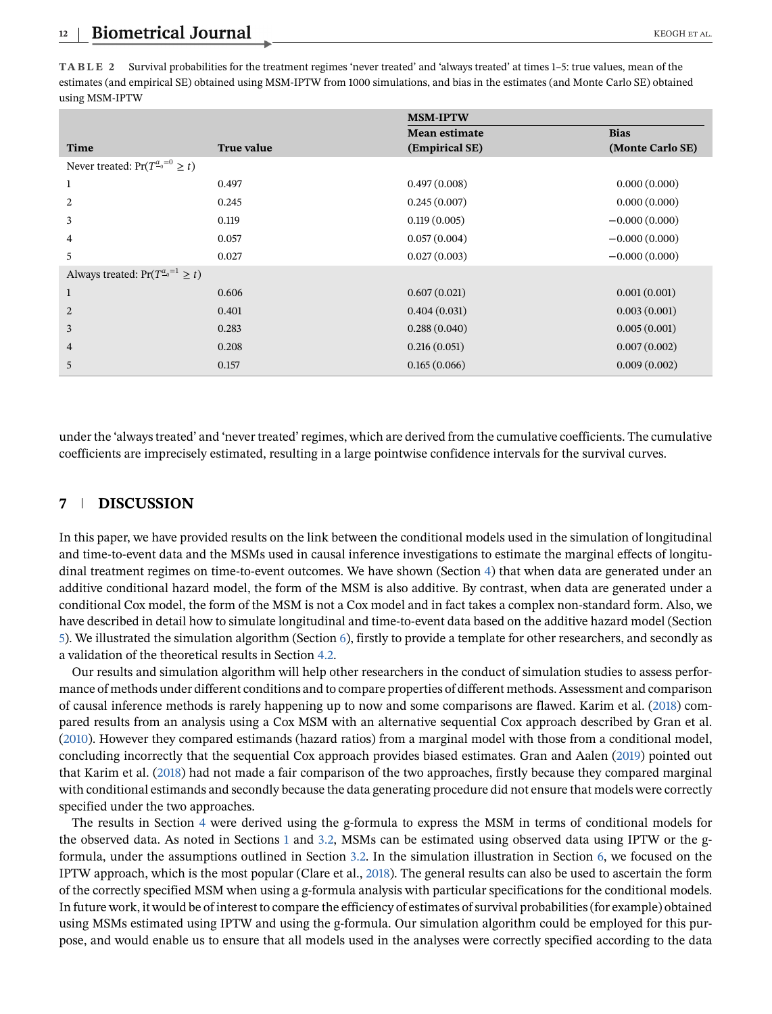<span id="page-11-0"></span>**TABLE 2** Survival probabilities for the treatment regimes 'never treated' and 'always treated' at times 1–5: true values, mean of the estimates (and empirical SE) obtained using MSM-IPTW from 1000 simulations, and bias in the estimates (and Monte Carlo SE) obtained using MSM-IPTW

|                                                   |                   | <b>MSM-IPTW</b>      |                  |
|---------------------------------------------------|-------------------|----------------------|------------------|
|                                                   |                   | <b>Mean estimate</b> | <b>Bias</b>      |
| Time                                              | <b>True value</b> | (Empirical SE)       | (Monte Carlo SE) |
| Never treated: $Pr(T_{\neg}^{a_{0}=0} \geq t)$    |                   |                      |                  |
| $\mathbf{1}$                                      | 0.497             | 0.497(0.008)         | 0.000(0.000)     |
| 2                                                 | 0.245             | 0.245(0.007)         | 0.000(0.000)     |
| 3                                                 | 0.119             | 0.119(0.005)         | $-0.000(0.000)$  |
| 4                                                 | 0.057             | 0.057(0.004)         | $-0.000(0.000)$  |
| 5                                                 | 0.027             | 0.027(0.003)         | $-0.000(0.000)$  |
| Always treated: $Pr(T^{\underline{a}_0=1} \ge t)$ |                   |                      |                  |
| $\mathbf{1}$                                      | 0.606             | 0.607(0.021)         | 0.001(0.001)     |
| $\overline{2}$                                    | 0.401             | 0.404(0.031)         | 0.003(0.001)     |
| 3                                                 | 0.283             | 0.288(0.040)         | 0.005(0.001)     |
| $\overline{4}$                                    | 0.208             | 0.216(0.051)         | 0.007(0.002)     |
| 5                                                 | 0.157             | 0.165(0.066)         | 0.009(0.002)     |

under the 'always treated' and 'never treated' regimes, which are derived from the cumulative coefficients. The cumulative coefficients are imprecisely estimated, resulting in a large pointwise confidence intervals for the survival curves.

### **7 DISCUSSION**

In this paper, we have provided results on the link between the conditional models used in the simulation of longitudinal and time-to-event data and the MSMs used in causal inference investigations to estimate the marginal effects of longitudinal treatment regimes on time-to-event outcomes. We have shown (Section [4\)](#page-5-0) that when data are generated under an additive conditional hazard model, the form of the MSM is also additive. By contrast, when data are generated under a conditional Cox model, the form of the MSM is not a Cox model and in fact takes a complex non-standard form. Also, we have described in detail how to simulate longitudinal and time-to-event data based on the additive hazard model (Section [5\)](#page-8-0). We illustrated the simulation algorithm (Section [6\)](#page-9-0), firstly to provide a template for other researchers, and secondly as a validation of the theoretical results in Section [4.2.](#page-7-0)

Our results and simulation algorithm will help other researchers in the conduct of simulation studies to assess performance of methods under different conditions and to compare properties of different methods. Assessment and comparison of causal inference methods is rarely happening up to now and some comparisons are flawed. Karim et al. [\(2018\)](#page-15-0) compared results from an analysis using a Cox MSM with an alternative sequential Cox approach described by Gran et al. [\(2010\)](#page-14-0). However they compared estimands (hazard ratios) from a marginal model with those from a conditional model, concluding incorrectly that the sequential Cox approach provides biased estimates. Gran and Aalen [\(2019\)](#page-14-0) pointed out that Karim et al. [\(2018\)](#page-15-0) had not made a fair comparison of the two approaches, firstly because they compared marginal with conditional estimands and secondly because the data generating procedure did not ensure that models were correctly specified under the two approaches.

The results in Section [4](#page-5-0) were derived using the g-formula to express the MSM in terms of conditional models for the observed data. As noted in Sections [1](#page-1-0) and [3.2,](#page-4-0) MSMs can be estimated using observed data using IPTW or the gformula, under the assumptions outlined in Section [3.2.](#page-4-0) In the simulation illustration in Section [6,](#page-9-0) we focused on the IPTW approach, which is the most popular (Clare et al., [2018\)](#page-14-0). The general results can also be used to ascertain the form of the correctly specified MSM when using a g-formula analysis with particular specifications for the conditional models. In future work, it would be of interest to compare the efficiency of estimates of survival probabilities (for example) obtained using MSMs estimated using IPTW and using the g-formula. Our simulation algorithm could be employed for this purpose, and would enable us to ensure that all models used in the analyses were correctly specified according to the data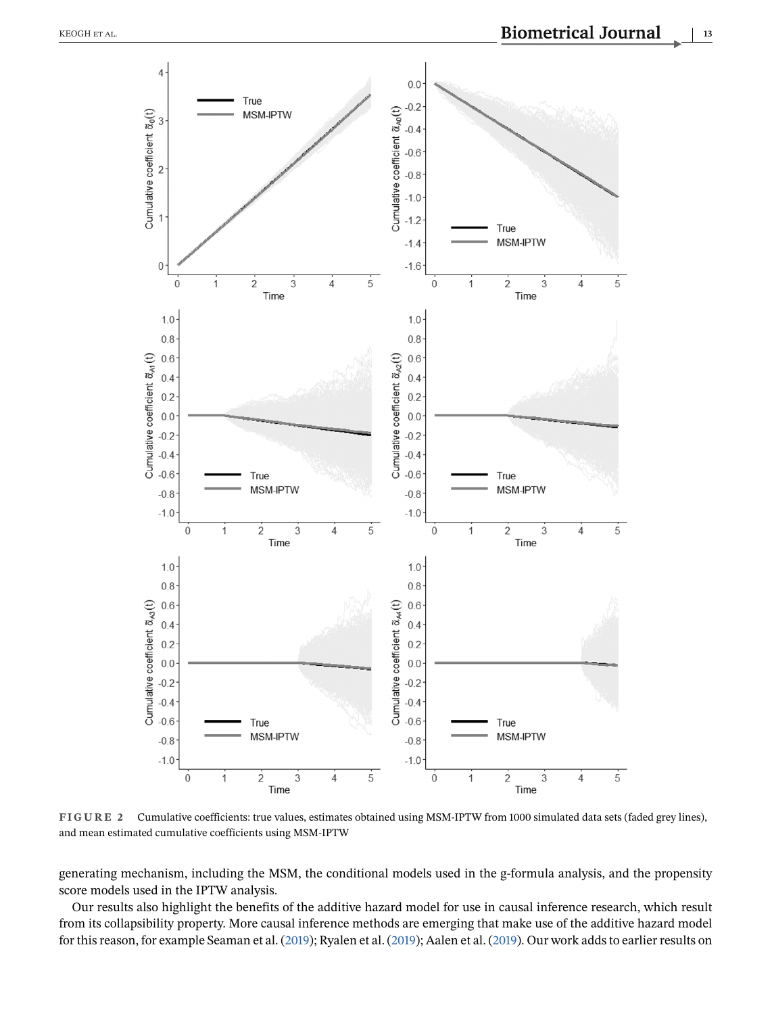<span id="page-12-0"></span>

**FIGURE 2** Cumulative coefficients: true values, estimates obtained using MSM-IPTW from 1000 simulated data sets (faded grey lines), and mean estimated cumulative coefficients using MSM-IPTW

generating mechanism, including the MSM, the conditional models used in the g-formula analysis, and the propensity score models used in the IPTW analysis.

Our results also highlight the benefits of the additive hazard model for use in causal inference research, which result from its collapsibility property. More causal inference methods are emerging that make use of the additive hazard model for this reason, for example Seaman et al. [\(2019\)](#page-15-0); Ryalen et al. [\(2019\)](#page-15-0); Aalen et al. [\(2019\)](#page-14-0). Our work adds to earlier results on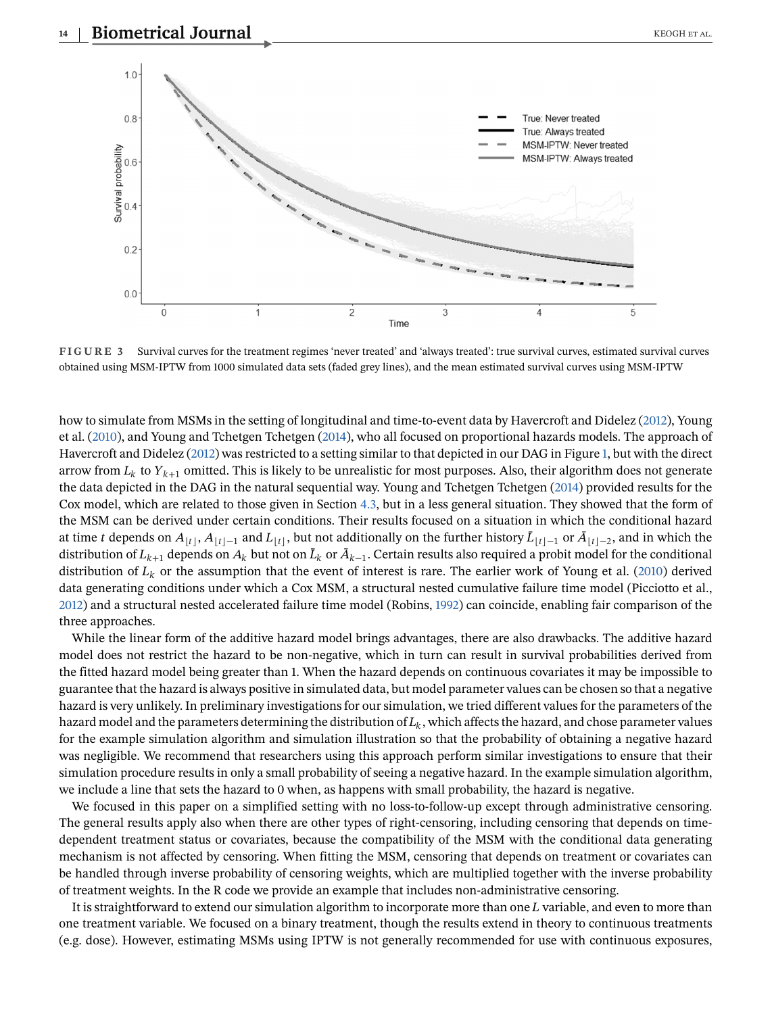<span id="page-13-0"></span>

**FIGURE 3** Survival curves for the treatment regimes 'never treated' and 'always treated': true survival curves, estimated survival curves obtained using MSM-IPTW from 1000 simulated data sets (faded grey lines), and the mean estimated survival curves using MSM-IPTW

how to simulate from MSMs in the setting of longitudinal and time-to-event data by Havercroft and Didelez [\(2012\)](#page-15-0), Young et al. [\(2010\)](#page-15-0), and Young and Tchetgen Tchetgen [\(2014\)](#page-15-0), who all focused on proportional hazards models. The approach of Havercroft and Didelez [\(2012\)](#page-15-0) was restricted to a setting similar to that depicted in our DAG in Figure [1,](#page-2-0) but with the direct arrow from  $L_k$  to  $Y_{k+1}$  omitted. This is likely to be unrealistic for most purposes. Also, their algorithm does not generate the data depicted in the DAG in the natural sequential way. Young and Tchetgen Tchetgen [\(2014\)](#page-15-0) provided results for the Cox model, which are related to those given in Section [4.3,](#page-8-0) but in a less general situation. They showed that the form of the MSM can be derived under certain conditions. Their results focused on a situation in which the conditional hazard at time *t* depends on  $A_{\lfloor t \rfloor}$ ,  $A_{\lfloor t \rfloor-1}$  and  $L_{\lfloor t \rfloor}$ , but not additionally on the further history  $L_{\lfloor t \rfloor-1}$  or  $\overline{A}_{\lfloor t \rfloor-2}$ , and in which the distribution of  $I_{\lfloor t \rfloor}$  depends on  $A_{\lfloor t \rfloor}$ distribution of  $L_{k+1}$  depends on  $A_k$  but not on  $\bar{L}_k$  or  $\bar{A}_{k-1}$ . Certain results also required a probit model for the conditional distribution of  $\bar{L}$ , or the assumption that the event of interest is rare. distribution of  $L_k$  or the assumption that the event of interest is rare. The earlier work of Young et al. [\(2010\)](#page-15-0) derived data generating conditions under which a Cox MSM, a structural nested cumulative failure time model (Picciotto et al., [2012\)](#page-15-0) and a structural nested accelerated failure time model (Robins, [1992\)](#page-15-0) can coincide, enabling fair comparison of the three approaches.

While the linear form of the additive hazard model brings advantages, there are also drawbacks. The additive hazard model does not restrict the hazard to be non-negative, which in turn can result in survival probabilities derived from the fitted hazard model being greater than 1. When the hazard depends on continuous covariates it may be impossible to guarantee that the hazard is always positive in simulated data, but model parameter values can be chosen so that a negative hazard is very unlikely. In preliminary investigations for our simulation, we tried different values for the parameters of the hazard model and the parameters determining the distribution of  $L_k$ , which affects the hazard, and chose parameter values for the example simulation algorithm and simulation illustration so that the probability of obtaining a negative hazard was negligible. We recommend that researchers using this approach perform similar investigations to ensure that their simulation procedure results in only a small probability of seeing a negative hazard. In the example simulation algorithm, we include a line that sets the hazard to 0 when, as happens with small probability, the hazard is negative.

We focused in this paper on a simplified setting with no loss-to-follow-up except through administrative censoring. The general results apply also when there are other types of right-censoring, including censoring that depends on timedependent treatment status or covariates, because the compatibility of the MSM with the conditional data generating mechanism is not affected by censoring. When fitting the MSM, censoring that depends on treatment or covariates can be handled through inverse probability of censoring weights, which are multiplied together with the inverse probability of treatment weights. In the R code we provide an example that includes non-administrative censoring.

It is straightforward to extend our simulation algorithm to incorporate more than one  $L$  variable, and even to more than one treatment variable. We focused on a binary treatment, though the results extend in theory to continuous treatments (e.g. dose). However, estimating MSMs using IPTW is not generally recommended for use with continuous exposures,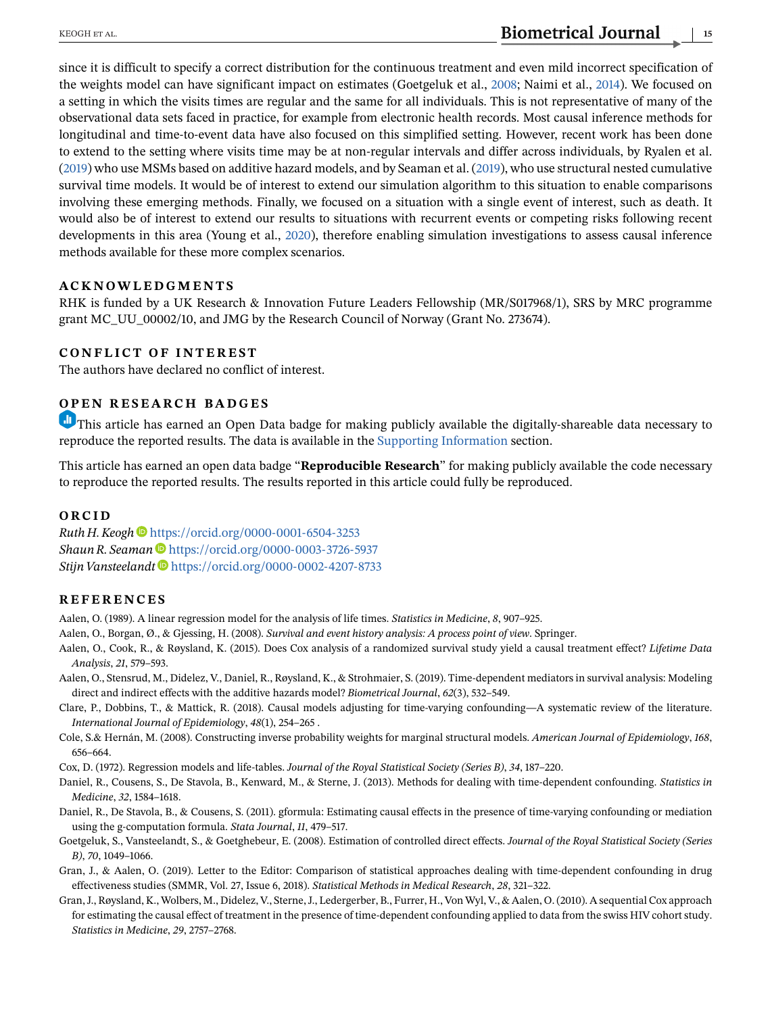<span id="page-14-0"></span>since it is difficult to specify a correct distribution for the continuous treatment and even mild incorrect specification of the weights model can have significant impact on estimates (Goetgeluk et al., 2008; Naimi et al., [2014\)](#page-15-0). We focused on a setting in which the visits times are regular and the same for all individuals. This is not representative of many of the observational data sets faced in practice, for example from electronic health records. Most causal inference methods for longitudinal and time-to-event data have also focused on this simplified setting. However, recent work has been done to extend to the setting where visits time may be at non-regular intervals and differ across individuals, by Ryalen et al. [\(2019\)](#page-15-0) who use MSMs based on additive hazard models, and by Seaman et al. [\(2019\)](#page-15-0), who use structural nested cumulative survival time models. It would be of interest to extend our simulation algorithm to this situation to enable comparisons involving these emerging methods. Finally, we focused on a situation with a single event of interest, such as death. It would also be of interest to extend our results to situations with recurrent events or competing risks following recent developments in this area (Young et al., [2020\)](#page-15-0), therefore enabling simulation investigations to assess causal inference methods available for these more complex scenarios.

## **ACKNOWLEDGMENTS**

RHK is funded by a UK Research & Innovation Future Leaders Fellowship (MR/S017968/1), SRS by MRC programme grant MC\_UU\_00002/10, and JMG by the Research Council of Norway (Grant No. 273674).<br>CONFLICT\_OF\_INTEREST

## **CONFLICT OF INTEREST**

The authors have declared no conflict of interest.

## **OPEN RESEARCH BADGES**

This article has earned an Open Data badge for making publicly available the digitally-shareable data necessary to reproduce the reported results. The data is available in the Supporting Information section.

This article has earned an open data badge "**Reproducible Research**" for making publicly available the code necessary to reproduce the reported results. The results reported in this article could fully be reproduced.

#### **ORCID**

*Ruth H. Keogh* <https://orcid.org/0000-0001-6504-3253> **Shaun R. Seaman** <https://orcid.org/0000-0003-3726-5937> *Stijn Vansteelandt* <https://orcid.org/0000-0002-4207-8733>

## **REFERENCES**

Aalen, O. (1989). A linear regression model for the analysis of life times. *Statistics in Medicine*, *8*, 907–925.

Aalen, O., Borgan, Ø., & Gjessing, H. (2008). *Survival and event history analysis: A process point of view*. Springer.

- Aalen, O., Cook, R., & Røysland, K. (2015). Does Cox analysis of a randomized survival study yield a causal treatment effect? *Lifetime Data Analysis*, *21*, 579–593.
- Aalen, O., Stensrud, M., Didelez, V., Daniel, R., Røysland, K., & Strohmaier, S. (2019). Time-dependent mediators in survival analysis: Modeling direct and indirect effects with the additive hazards model? *Biometrical Journal*, *62*(3), 532–549.
- Clare, P., Dobbins, T., & Mattick, R. (2018). Causal models adjusting for time-varying confounding—A systematic review of the literature. *International Journal of Epidemiology*, *48*(1), 254–265 .
- Cole, S.& Hernán, M. (2008). Constructing inverse probability weights for marginal structural models. *American Journal of Epidemiology*, *168*, 656–664.
- Cox, D. (1972). Regression models and life-tables. *Journal of the Royal Statistical Society (Series B)*, *34*, 187–220.
- Daniel, R., Cousens, S., De Stavola, B., Kenward, M., & Sterne, J. (2013). Methods for dealing with time-dependent confounding. *Statistics in Medicine*, *32*, 1584–1618.
- Daniel, R., De Stavola, B., & Cousens, S. (2011). gformula: Estimating causal effects in the presence of time-varying confounding or mediation using the g-computation formula. *Stata Journal*, *11*, 479–517.
- Goetgeluk, S., Vansteelandt, S., & Goetghebeur, E. (2008). Estimation of controlled direct effects. *Journal of the Royal Statistical Society (Series B)*, *70*, 1049–1066.
- Gran, J., & Aalen, O. (2019). Letter to the Editor: Comparison of statistical approaches dealing with time-dependent confounding in drug effectiveness studies (SMMR, Vol. 27, Issue 6, 2018). *Statistical Methods in Medical Research*, *28*, 321–322.
- Gran, J., Røysland, K., Wolbers, M., Didelez, V., Sterne, J., Ledergerber, B., Furrer, H., Von Wyl, V., & Aalen, O. (2010). A sequential Cox approach for estimating the causal effect of treatment in the presence of time-dependent confounding applied to data from the swiss HIV cohort study. *Statistics in Medicine*, *29*, 2757–2768.